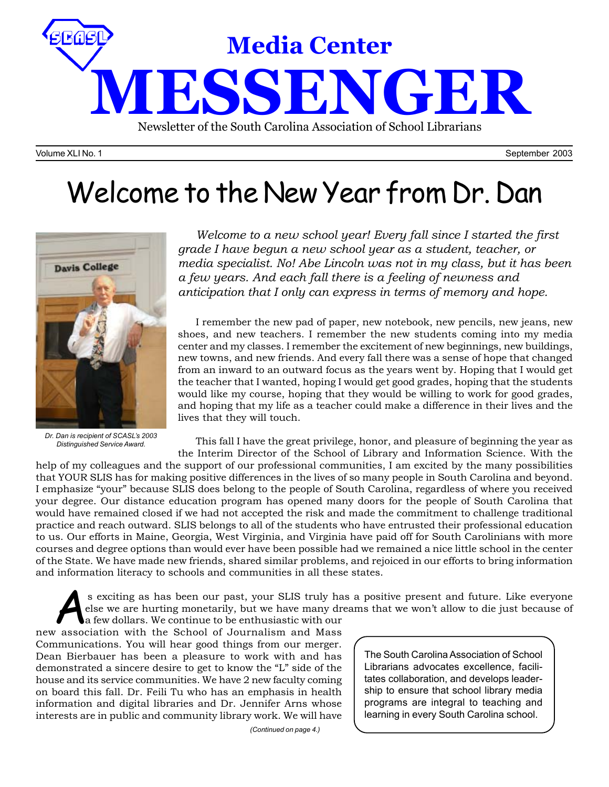

Volume XLI No. 1 September 2003

# Welcome to the New Year from Dr. Dan



*Dr. Dan is recipient of SCASL's 2003 Distinguished Service Award.*

*Welcome to a new school year! Every fall since I started the first grade I have begun a new school year as a student, teacher, or media specialist. No! Abe Lincoln was not in my class, but it has been a few years. And each fall there is a feeling of newness and anticipation that I only can express in terms of memory and hope.*

I remember the new pad of paper, new notebook, new pencils, new jeans, new shoes, and new teachers. I remember the new students coming into my media center and my classes. I remember the excitement of new beginnings, new buildings, new towns, and new friends. And every fall there was a sense of hope that changed from an inward to an outward focus as the years went by. Hoping that I would get the teacher that I wanted, hoping I would get good grades, hoping that the students would like my course, hoping that they would be willing to work for good grades, and hoping that my life as a teacher could make a difference in their lives and the lives that they will touch.

This fall I have the great privilege, honor, and pleasure of beginning the year as the Interim Director of the School of Library and Information Science. With the

help of my colleagues and the support of our professional communities, I am excited by the many possibilities that YOUR SLIS has for making positive differences in the lives of so many people in South Carolina and beyond. I emphasize "your" because SLIS does belong to the people of South Carolina, regardless of where you received your degree. Our distance education program has opened many doors for the people of South Carolina that would have remained closed if we had not accepted the risk and made the commitment to challenge traditional practice and reach outward. SLIS belongs to all of the students who have entrusted their professional education to us. Our efforts in Maine, Georgia, West Virginia, and Virginia have paid off for South Carolinians with more courses and degree options than would ever have been possible had we remained a nice little school in the center of the State. We have made new friends, shared similar problems, and rejoiced in our efforts to bring information and information literacy to schools and communities in all these states.

s exciting as has been our past, your SLIS truly has a positive present and future. Like everyone<br>else we are hurting monetarily, but we have many dreams that we won't allow to die just because of<br>a few dollars. We continu else we are hurting monetarily, but we have many dreams that we won't allow to die just because of

a few dollars. We continue to be enthusiastic with our new association with the School of Journalism and Mass Communications. You will hear good things from our merger. Dean Bierbauer has been a pleasure to work with and has demonstrated a sincere desire to get to know the "L" side of the house and its service communities. We have 2 new faculty coming on board this fall. Dr. Feili Tu who has an emphasis in health information and digital libraries and Dr. Jennifer Arns whose interests are in public and community library work. We will have

*(Continued on page 4.)*

The South Carolina Association of School Librarians advocates excellence, facilitates collaboration, and develops leadership to ensure that school library media programs are integral to teaching and learning in every South Carolina school.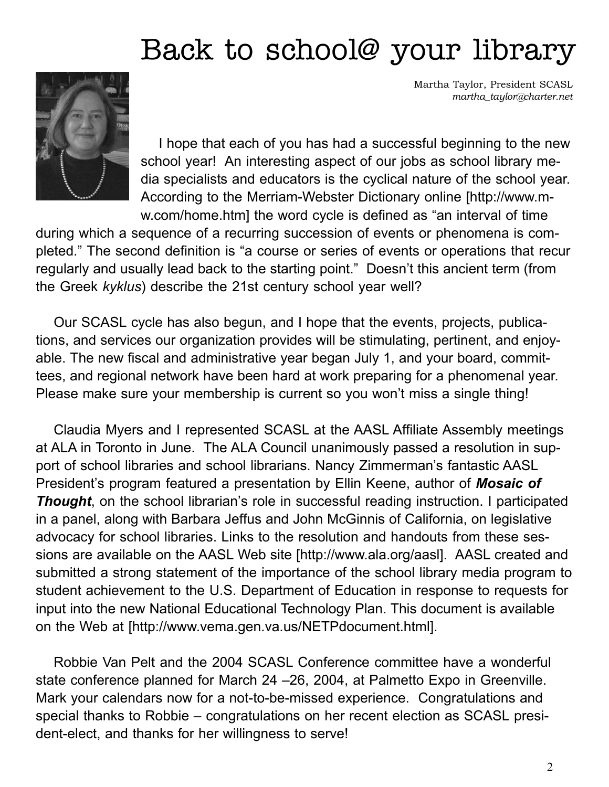# Back to school@ your library



Martha Taylor, President SCASL *martha\_taylor@charter.net*

I hope that each of you has had a successful beginning to the new school year! An interesting aspect of our jobs as school library media specialists and educators is the cyclical nature of the school year. According to the Merriam-Webster Dictionary online [http://www.mw.com/home.htm] the word cycle is defined as "an interval of time

during which a sequence of a recurring succession of events or phenomena is completed." The second definition is "a course or series of events or operations that recur regularly and usually lead back to the starting point." Doesn't this ancient term (from the Greek *kyklus*) describe the 21st century school year well?

Our SCASL cycle has also begun, and I hope that the events, projects, publications, and services our organization provides will be stimulating, pertinent, and enjoyable. The new fiscal and administrative year began July 1, and your board, committees, and regional network have been hard at work preparing for a phenomenal year. Please make sure your membership is current so you won't miss a single thing!

Claudia Myers and I represented SCASL at the AASL Affiliate Assembly meetings at ALA in Toronto in June. The ALA Council unanimously passed a resolution in support of school libraries and school librarians. Nancy Zimmerman's fantastic AASL President's program featured a presentation by Ellin Keene, author of *Mosaic of* **Thought**, on the school librarian's role in successful reading instruction. I participated in a panel, along with Barbara Jeffus and John McGinnis of California, on legislative advocacy for school libraries. Links to the resolution and handouts from these sessions are available on the AASL Web site [http://www.ala.org/aasl]. AASL created and submitted a strong statement of the importance of the school library media program to student achievement to the U.S. Department of Education in response to requests for input into the new National Educational Technology Plan. This document is available on the Web at [http://www.vema.gen.va.us/NETPdocument.html].

Robbie Van Pelt and the 2004 SCASL Conference committee have a wonderful state conference planned for March 24 –26, 2004, at Palmetto Expo in Greenville. Mark your calendars now for a not-to-be-missed experience. Congratulations and special thanks to Robbie – congratulations on her recent election as SCASL president-elect, and thanks for her willingness to serve!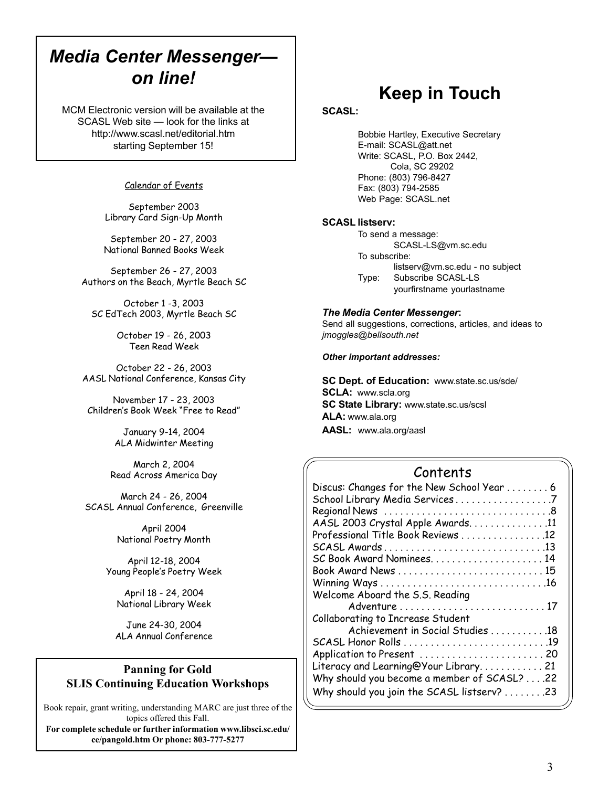## *Media Center Messenger on line!*

MCM Electronic version will be available at the SCASL Web site — look for the links at http://www.scasl.net/editorial.htm starting September 15!

### Calendar of Events

September 2003 Library Card Sign-Up Month

September 20 - 27, 2003 National Banned Books Week

September 26 - 27, 2003 Authors on the Beach, Myrtle Beach SC

October 1 -3, 2003 SC EdTech 2003, Myrtle Beach SC

> October 19 - 26, 2003 Teen Read Week

October 22 - 26, 2003 AASL National Conference, Kansas City

November 17 - 23, 2003 Children's Book Week "Free to Read"

> January 9-14, 2004 ALA Midwinter Meeting

March 2, 2004 Read Across America Day

March 24 - 26, 2004 SCASL Annual Conference, Greenville

> April 2004 National Poetry Month

April 12-18, 2004 Young People's Poetry Week

April 18 - 24, 2004 National Library Week

June 24-30, 2004 ALA Annual Conference

### **Panning for Gold SLIS Continuing Education Workshops**

Book repair, grant writing, understanding MARC are just three of the topics offered this Fall.

**For complete schedule or further information www.libsci.sc.edu/ ce/pangold.htm Or phone: 803-777-5277**

## **Keep in Touch**

### **SCASL:**

Bobbie Hartley, Executive Secretary E-mail: SCASL@att.net Write: SCASL, P.O. Box 2442, Cola, SC 29202 Phone: (803) 796-8427 Fax: (803) 794-2585 Web Page: SCASL.net

### **SCASL listserv:**

To send a message: SCASL-LS@vm.sc.edu To subscribe: listserv@vm.sc.edu - no subject Type: Subscribe SCASL-LS yourfirstname yourlastname

### *The Media Center Messenger***:**

Send all suggestions, corrections, articles, and ideas to *jmoggles@bellsouth.net*

#### *Other important addresses:*

**SC Dept. of Education:** www.state.sc.us/sde/ **SCLA:** www.scla.org **SC State Library:** www.state.sc.us/scsl **ALA:** www.ala.org **AASL:** www.ala.org/aasl

### Contents

| Discus: Changes for the New School Year  6  |  |
|---------------------------------------------|--|
| School Library Media Services7              |  |
|                                             |  |
| AASL 2003 Crystal Apple Awards11            |  |
| Professional Title Book Reviews 12          |  |
|                                             |  |
| SC Book Award Nominees14                    |  |
| Book Award News  15                         |  |
|                                             |  |
| Welcome Aboard the S.S. Reading             |  |
|                                             |  |
| Collaborating to Increase Student           |  |
| Achievement in Social Studies 18            |  |
|                                             |  |
| Application to Present  20                  |  |
| Literacy and Learning@Your Library 21       |  |
| Why should you become a member of SCASL? 22 |  |
| Why should you join the SCASL listserv? 23  |  |
|                                             |  |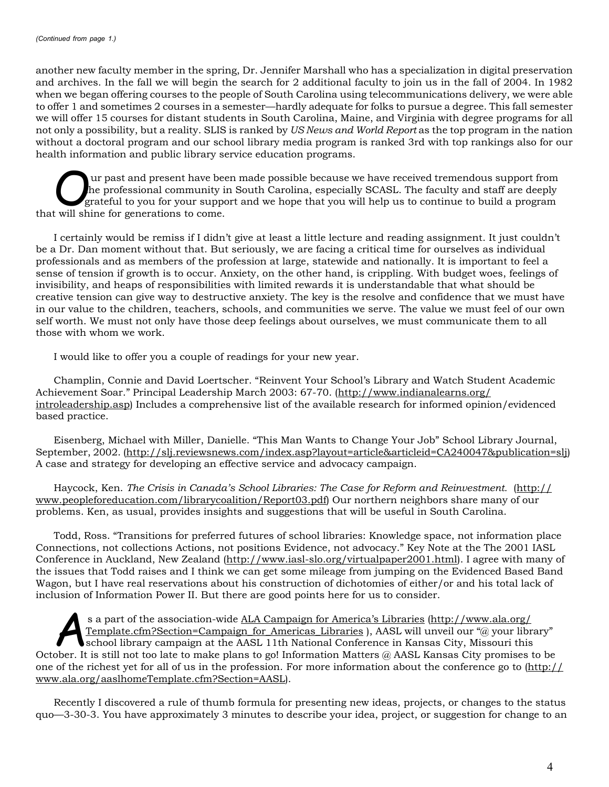another new faculty member in the spring, Dr. Jennifer Marshall who has a specialization in digital preservation and archives. In the fall we will begin the search for 2 additional faculty to join us in the fall of 2004. In 1982 when we began offering courses to the people of South Carolina using telecommunications delivery, we were able to offer 1 and sometimes 2 courses in a semester—hardly adequate for folks to pursue a degree. This fall semester we will offer 15 courses for distant students in South Carolina, Maine, and Virginia with degree programs for all not only a possibility, but a reality. SLIS is ranked by *US News and World Report* as the top program in the nation without a doctoral program and our school library media program is ranked 3rd with top rankings also for our health information and public library service education programs.

Uur past and present have been made possible because we have received tremendous support from<br>he professional community in South Carolina, especially SCASL. The faculty and staff are deeply<br>grateful to you for your support the professional community in South Carolina, especially SCASL. The faculty and staff are deeply that will shine for generations to come.

I certainly would be remiss if I didn't give at least a little lecture and reading assignment. It just couldn't be a Dr. Dan moment without that. But seriously, we are facing a critical time for ourselves as individual professionals and as members of the profession at large, statewide and nationally. It is important to feel a sense of tension if growth is to occur. Anxiety, on the other hand, is crippling. With budget woes, feelings of invisibility, and heaps of responsibilities with limited rewards it is understandable that what should be creative tension can give way to destructive anxiety. The key is the resolve and confidence that we must have in our value to the children, teachers, schools, and communities we serve. The value we must feel of our own self worth. We must not only have those deep feelings about ourselves, we must communicate them to all those with whom we work.

I would like to offer you a couple of readings for your new year.

Champlin, Connie and David Loertscher. "Reinvent Your School's Library and Watch Student Academic Achievement Soar." Principal Leadership March 2003: 67-70. (http://www.indianalearns.org/ introleadership.asp) Includes a comprehensive list of the available research for informed opinion/evidenced based practice.

Eisenberg, Michael with Miller, Danielle. "This Man Wants to Change Your Job" School Library Journal, September, 2002. (http://slj.reviewsnews.com/index.asp?layout=article&articleid=CA240047&publication=slj) A case and strategy for developing an effective service and advocacy campaign.

Haycock, Ken. *The Crisis in Canada's School Libraries: The Case for Reform and Reinvestment.* (http:// www.peopleforeducation.com/librarycoalition/Report03.pdf) Our northern neighbors share many of our problems. Ken, as usual, provides insights and suggestions that will be useful in South Carolina.

Todd, Ross. "Transitions for preferred futures of school libraries: Knowledge space, not information place Connections, not collections Actions, not positions Evidence, not advocacy." Key Note at the The 2001 IASL Conference in Auckland, New Zealand (http://www.iasl-slo.org/virtualpaper2001.html). I agree with many of the issues that Todd raises and I think we can get some mileage from jumping on the Evidenced Based Band Wagon, but I have real reservations about his construction of dichotomies of either/or and his total lack of inclusion of Information Power II. But there are good points here for us to consider.

s a part of the association-wide <u>ALA Campaign for America's Libraries (http://www.ala.org/<br>Template.cfm?Section=Campaign\_for\_Americas\_Libraries ), AASL will unveil our "@ your libraries"<br>school library campaign at the AA</u> Template.cfm?Section=Campaign\_for\_Americas\_Libraries ), AASL will unveil our "@ your library" school library campaign at the AASL 11th National Conference in Kansas City, Missouri this October. It is still not too late to make plans to go! Information Matters @ AASL Kansas City promises to be one of the richest yet for all of us in the profession. For more information about the conference go to (http:// www.ala.org/aaslhomeTemplate.cfm?Section=AASL).

Recently I discovered a rule of thumb formula for presenting new ideas, projects, or changes to the status quo—3-30-3. You have approximately 3 minutes to describe your idea, project, or suggestion for change to an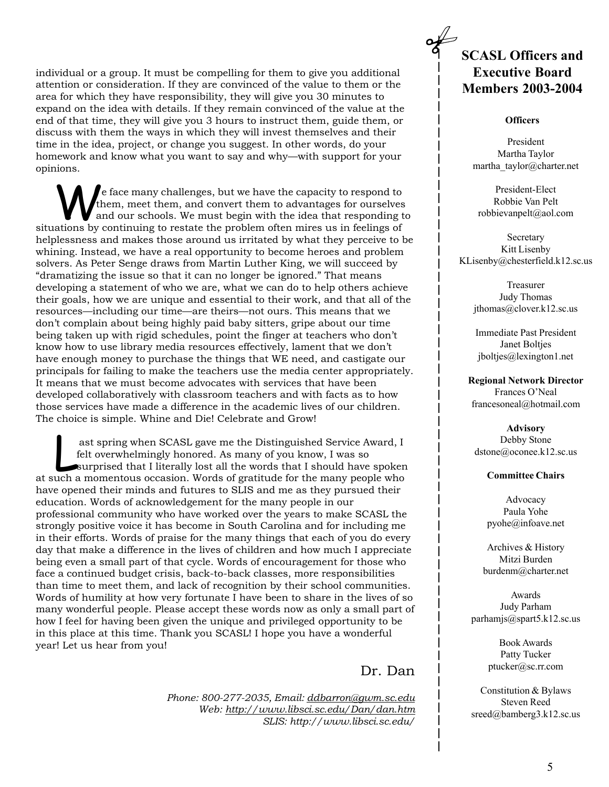individual or a group. It must be compelling for them to give you additional attention or consideration. If they are convinced of the value to them or the area for which they have responsibility, they will give you 30 minutes to expand on the idea with details. If they remain convinced of the value at the end of that time, they will give you 3 hours to instruct them, guide them, or discuss with them the ways in which they will invest themselves and their time in the idea, project, or change you suggest. In other words, do your homework and know what you want to say and why—with support for your opinions.

We face many challenges, but we have the capacity to respond to<br>them, meet them, and convert them to advantages for ourselves<br>and our schools. We must begin with the idea that responding to<br>tions by continuing to restate t them, meet them, and convert them to advantages for ourselves situations by continuing to restate the problem often mires us in feelings of helplessness and makes those around us irritated by what they perceive to be whining. Instead, we have a real opportunity to become heroes and problem solvers. As Peter Senge draws from Martin Luther King, we will succeed by "dramatizing the issue so that it can no longer be ignored." That means developing a statement of who we are, what we can do to help others achieve their goals, how we are unique and essential to their work, and that all of the resources—including our time—are theirs—not ours. This means that we don't complain about being highly paid baby sitters, gripe about our time being taken up with rigid schedules, point the finger at teachers who don't know how to use library media resources effectively, lament that we don't have enough money to purchase the things that WE need, and castigate our principals for failing to make the teachers use the media center appropriately. It means that we must become advocates with services that have been developed collaboratively with classroom teachers and with facts as to how those services have made a difference in the academic lives of our children. The choice is simple. Whine and Die! Celebrate and Grow!

ast spring when SCASL gave me the Distinguished Service Award, I<br>felt overwhelmingly honored. As many of you know, I was so<br>surprised that I literally lost all the words that I should have spoken<br>uch a momentous occasion. felt overwhelmingly honored. As many of you know, I was so at such a momentous occasion. Words of gratitude for the many people who have opened their minds and futures to SLIS and me as they pursued their education. Words of acknowledgement for the many people in our professional community who have worked over the years to make SCASL the strongly positive voice it has become in South Carolina and for including me in their efforts. Words of praise for the many things that each of you do every day that make a difference in the lives of children and how much I appreciate being even a small part of that cycle. Words of encouragement for those who face a continued budget crisis, back-to-back classes, more responsibilities than time to meet them, and lack of recognition by their school communities. Words of humility at how very fortunate I have been to share in the lives of so many wonderful people. Please accept these words now as only a small part of how I feel for having been given the unique and privileged opportunity to be in this place at this time. Thank you SCASL! I hope you have a wonderful year! Let us hear from you!

Dr. Dan

*Phone: 800-277-2035, Email: ddbarron@gwm.sc.edu Web: http://www.libsci.sc.edu/Dan/dan.htm SLIS: http://www.libsci.sc.edu/*

### **SCASL Officers and Executive Board Members 2003-2004**

### **Officers**

President Martha Taylor martha\_taylor@charter.net

President-Elect Robbie Van Pelt robbievanpelt@aol.com

Secretary Kitt Lisenby KLisenby@chesterfield.k12.sc.us

> Treasurer Judy Thomas jthomas@clover.k12.sc.us

Immediate Past President Janet Boltjes jboltjes@lexington1.net

**Regional Network Director** Frances O'Neal francesoneal@hotmail.com

**Advisory** Debby Stone dstone@oconee.k12.sc.us

### **Committee Chairs**

Advocacy Paula Yohe pyohe@infoave.net

Archives & History Mitzi Burden burdenm@charter.net

Awards Judy Parham parhamjs@spart5.k12.sc.us

> Book Awards Patty Tucker ptucker@sc.rr.com

Constitution & Bylaws Steven Reed sreed@bamberg3.k12.sc.us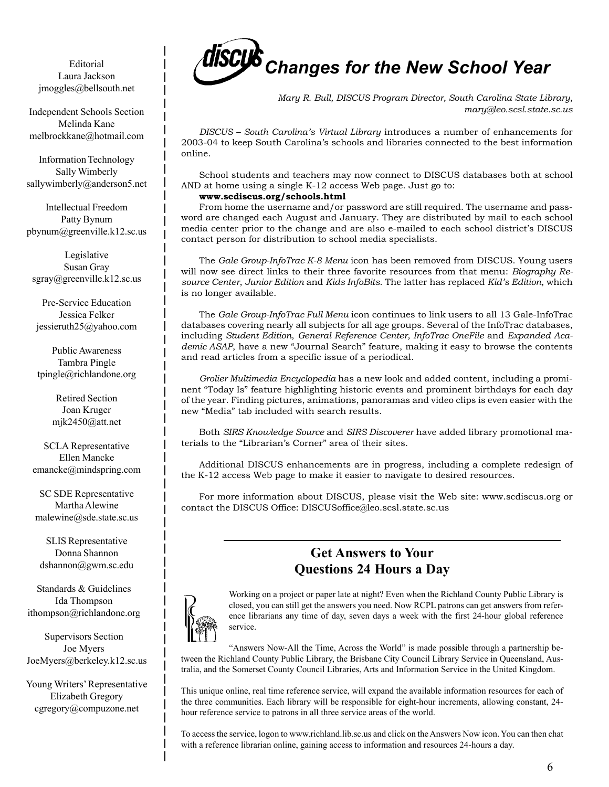Editorial Laura Jackson jmoggles@bellsouth.net

Independent Schools Section Melinda Kane melbrockkane@hotmail.com

Information Technology Sally Wimberly sallywimberly@anderson5.net

Intellectual Freedom Patty Bynum pbynum@greenville.k12.sc.us

Legislative Susan Gray sgray@greenville.k12.sc.us

Pre-Service Education Jessica Felker jessieruth25@yahoo.com

Public Awareness Tambra Pingle tpingle@richlandone.org

> Retired Section Joan Kruger mjk2450@att.net

SCLA Representative Ellen Mancke emancke@mindspring.com

SC SDE Representative Martha Alewine malewine@sde.state.sc.us

SLIS Representative Donna Shannon dshannon@gwm.sc.edu

Standards & Guidelines Ida Thompson ithompson@richlandone.org

Supervisors Section Joe Myers JoeMyers@berkeley.k12.sc.us

Young Writers' Representative Elizabeth Gregory cgregory@compuzone.net



*Mary R. Bull, DISCUS Program Director, South Carolina State Library, mary@leo.scsl.state.sc.us*

*DISCUS – South Carolina's Virtual Library* introduces a number of enhancements for 2003-04 to keep South Carolina's schools and libraries connected to the best information online.

School students and teachers may now connect to DISCUS databases both at school AND at home using a single K-12 access Web page. Just go to:

#### **www.scdiscus.org/schools.html**

From home the username and/or password are still required. The username and password are changed each August and January. They are distributed by mail to each school media center prior to the change and are also e-mailed to each school district's DISCUS contact person for distribution to school media specialists.

The *Gale Group-InfoTrac K-8 Menu* icon has been removed from DISCUS. Young users will now see direct links to their three favorite resources from that menu: *Biography Resource Center*, *Junior Edition* and *Kids InfoBits*. The latter has replaced *Kid's Edition*, which is no longer available.

The *Gale Group-InfoTrac Full Menu* icon continues to link users to all 13 Gale-InfoTrac databases covering nearly all subjects for all age groups. Several of the InfoTrac databases, including *Student Edition*, *General Reference Center, InfoTrac OneFile* and *Expanded Academic ASAP*, have a new "Journal Search" feature, making it easy to browse the contents and read articles from a specific issue of a periodical.

*Grolier Multimedia Encyclopedia* has a new look and added content, including a prominent "Today Is" feature highlighting historic events and prominent birthdays for each day of the year. Finding pictures, animations, panoramas and video clips is even easier with the new "Media" tab included with search results.

Both *SIRS Knowledge Source* and *SIRS Discoverer* have added library promotional materials to the "Librarian's Corner" area of their sites.

Additional DISCUS enhancements are in progress, including a complete redesign of the K-12 access Web page to make it easier to navigate to desired resources.

For more information about DISCUS, please visit the Web site: www.scdiscus.org or contact the DISCUS Office: DISCUSoffice@leo.scsl.state.sc.us

### **Get Answers to Your Questions 24 Hours a Day**



Working on a project or paper late at night? Even when the Richland County Public Library is closed, you can still get the answers you need. Now RCPL patrons can get answers from reference librarians any time of day, seven days a week with the first 24-hour global reference service.

"Answers Now-All the Time, Across the World" is made possible through a partnership between the Richland County Public Library, the Brisbane City Council Library Service in Queensland, Australia, and the Somerset County Council Libraries, Arts and Information Service in the United Kingdom.

This unique online, real time reference service, will expand the available information resources for each of the three communities. Each library will be responsible for eight-hour increments, allowing constant, 24 hour reference service to patrons in all three service areas of the world.

To access the service, logon to www.richland.lib.sc.us and click on the Answers Now icon. You can then chat with a reference librarian online, gaining access to information and resources 24-hours a day.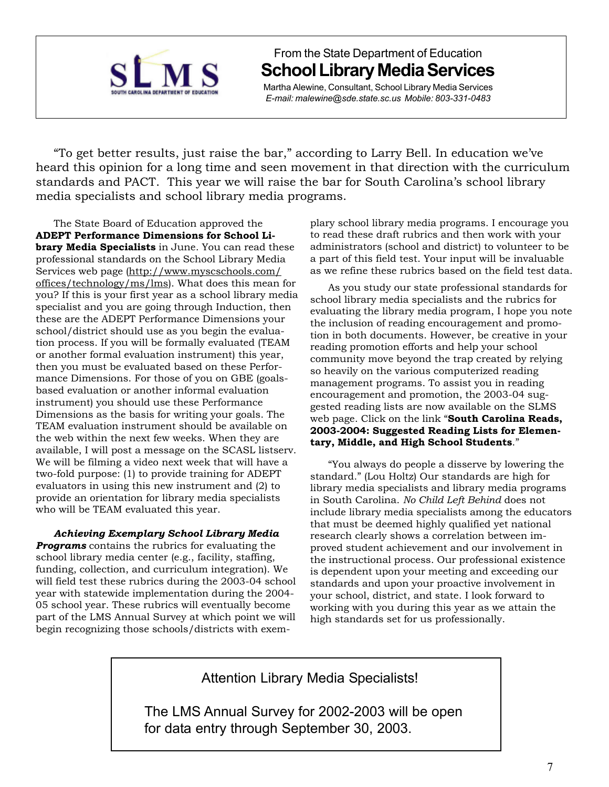

From the State Department of Education **School Library Media Services**

Martha Alewine, Consultant, School Library Media Services *E-mail: malewine@sde.state.sc.us Mobile: 803-331-0483*

"To get better results, just raise the bar," according to Larry Bell. In education we've heard this opinion for a long time and seen movement in that direction with the curriculum standards and PACT. This year we will raise the bar for South Carolina's school library media specialists and school library media programs.

The State Board of Education approved the **ADEPT Performance Dimensions for School Library Media Specialists** in June. You can read these professional standards on the School Library Media Services web page (http://www.myscschools.com/ offices/technology/ms/lms). What does this mean for you? If this is your first year as a school library media specialist and you are going through Induction, then these are the ADEPT Performance Dimensions your school/district should use as you begin the evaluation process. If you will be formally evaluated (TEAM or another formal evaluation instrument) this year, then you must be evaluated based on these Performance Dimensions. For those of you on GBE (goalsbased evaluation or another informal evaluation instrument) you should use these Performance Dimensions as the basis for writing your goals. The TEAM evaluation instrument should be available on the web within the next few weeks. When they are available, I will post a message on the SCASL listserv. We will be filming a video next week that will have a two-fold purpose: (1) to provide training for ADEPT evaluators in using this new instrument and (2) to provide an orientation for library media specialists who will be TEAM evaluated this year.

### *Achieving Exemplary School Library Media*

*Programs* contains the rubrics for evaluating the school library media center (e.g., facility, staffing, funding, collection, and curriculum integration). We will field test these rubrics during the 2003-04 school year with statewide implementation during the 2004- 05 school year. These rubrics will eventually become part of the LMS Annual Survey at which point we will begin recognizing those schools/districts with exemplary school library media programs. I encourage you to read these draft rubrics and then work with your administrators (school and district) to volunteer to be a part of this field test. Your input will be invaluable as we refine these rubrics based on the field test data.

As you study our state professional standards for school library media specialists and the rubrics for evaluating the library media program, I hope you note the inclusion of reading encouragement and promotion in both documents. However, be creative in your reading promotion efforts and help your school community move beyond the trap created by relying so heavily on the various computerized reading management programs. To assist you in reading encouragement and promotion, the 2003-04 suggested reading lists are now available on the SLMS web page. Click on the link "**South Carolina Reads, 2003-2004: Suggested Reading Lists for Elementary, Middle, and High School Students**."

"You always do people a disserve by lowering the standard." (Lou Holtz) Our standards are high for library media specialists and library media programs in South Carolina. *No Child Left Behind* does not include library media specialists among the educators that must be deemed highly qualified yet national research clearly shows a correlation between improved student achievement and our involvement in the instructional process. Our professional existence is dependent upon your meeting and exceeding our standards and upon your proactive involvement in your school, district, and state. I look forward to working with you during this year as we attain the high standards set for us professionally.

Attention Library Media Specialists!

The LMS Annual Survey for 2002-2003 will be open for data entry through September 30, 2003.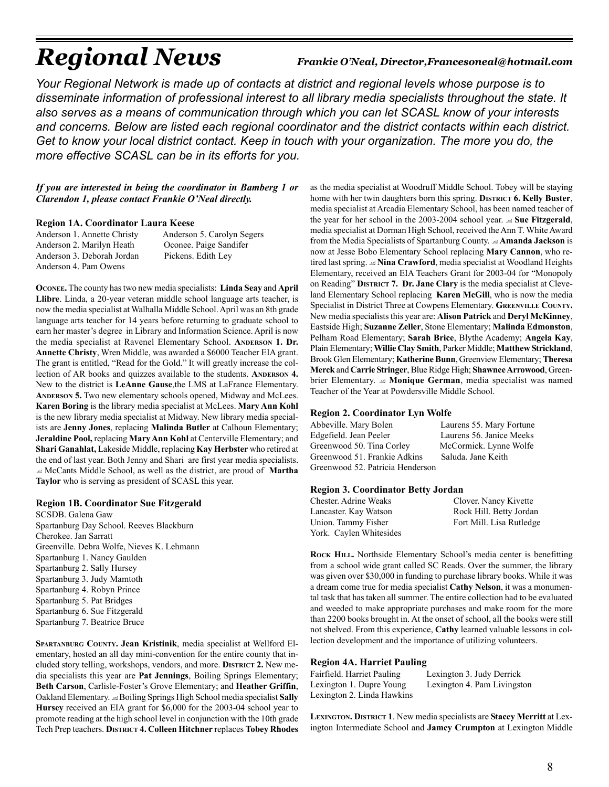# *Regional News Frankie O'Neal, Director,Francesoneal@hotmail.com*

*Your Regional Network is made up of contacts at district and regional levels whose purpose is to disseminate information of professional interest to all library media specialists throughout the state. It also serves as a means of communication through which you can let SCASL know of your interests and concerns. Below are listed each regional coordinator and the district contacts within each district. Get to know your local district contact. Keep in touch with your organization. The more you do, the more effective SCASL can be in its efforts for you.*

### *If you are interested in being the coordinator in Bamberg 1 or Clarendon 1, please contact Frankie O'Neal directly.*

#### **Region 1A. Coordinator Laura Keese**

Anderson 1. Annette Christy Anderson 5. Carolyn Segers Anderson 2. Marilyn Heath Oconee. Paige Sandifer Anderson 3. Deborah Jordan Pickens. Edith Ley Anderson 4. Pam Owens

**OCONEE.** The county has two new media specialists: **Linda Seay** and **April Llibre**. Linda, a 20-year veteran middle school language arts teacher, is now the media specialist at Walhalla Middle School. April was an 8th grade language arts teacher for 14 years before returning to graduate school to earn her master's degree in Library and Information Science. April is now the media specialist at Ravenel Elementary School. **ANDERSON 1. Dr. Annette Christy**, Wren Middle, was awarded a \$6000 Teacher EIA grant. The grant is entitled, "Read for the Gold." It will greatly increase the collection of AR books and quizzes available to the students. **ANDERSON 4.** New to the district is **LeAnne Gause**,the LMS at LaFrance Elementary. **ANDERSON 5.** Two new elementary schools opened, Midway and McLees. **Karen Boring** is the library media specialist at McLees. **Mary Ann Kohl** is the new library media specialist at Midway. New library media specialists are **Jenny Jones**, replacing **Malinda Butler** at Calhoun Elementary; **Jeraldine Pool,** replacing **Mary Ann Kohl** at Centerville Elementary; and **Shari Ganahlat,** Lakeside Middle, replacing **Kay Herbster** who retired at the end of last year. Both Jenny and Shari are first year media specialists. McCants Middle School, as well as the district, are proud of **Martha Taylor** who is serving as president of SCASL this year.

### **Region 1B. Coordinator Sue Fitzgerald**

SCSDB. Galena Gaw Spartanburg Day School. Reeves Blackburn Cherokee. Jan Sarratt Greenville. Debra Wolfe, Nieves K. Lehmann Spartanburg 1. Nancy Gaulden Spartanburg 2. Sally Hursey Spartanburg 3. Judy Mamtoth Spartanburg 4. Robyn Prince Spartanburg 5. Pat Bridges Spartanburg 6. Sue Fitzgerald Spartanburg 7. Beatrice Bruce

**SPARTANBURG COUNTY. Jean Kristinik**, media specialist at Wellford Elementary, hosted an all day mini-convention for the entire county that included story telling, workshops, vendors, and more. **DISTRICT 2.** New media specialists this year are **Pat Jennings**, Boiling Springs Elementary; **Beth Carson**, Carlisle-Foster's Grove Elementary; and **Heather Griffin**, Oakland Elementary. Boiling Springs High School media specialist **Sally Hursey** received an EIA grant for \$6,000 for the 2003-04 school year to promote reading at the high school level in conjunction with the 10th grade Tech Prep teachers. **DISTRICT 4. Colleen Hitchner** replaces **Tobey Rhodes**

as the media specialist at Woodruff Middle School. Tobey will be staying home with her twin daughters born this spring. **DISTRICT 6. Kelly Buster**, media specialist at Arcadia Elementary School, has been named teacher of the year for her school in the 2003-2004 school year. **Sue Fitzgerald**, media specialist at Dorman High School, received the Ann T. White Award from the Media Specialists of Spartanburg County. **Amanda Jackson** is now at Jesse Bobo Elementary School replacing **Mary Cannon**, who retired last spring. **Nina Crawford**, media specialist at Woodland Heights Elementary, received an EIA Teachers Grant for 2003-04 for "Monopoly on Reading" **DISTRICT 7. Dr. Jane Clary** is the media specialist at Cleveland Elementary School replacing **Karen McGill**, who is now the media Specialist in District Three at Cowpens Elementary. GREENVILLE COUNTY. New media specialists this year are: **Alison Patrick** and **Deryl McKinney**, Eastside High; **Suzanne Zeller**, Stone Elementary; **Malinda Edmonston**, Pelham Road Elementary; **Sarah Brice**, Blythe Academy; **Angela Kay**, Plain Elementary; **Willie Clay Smith**, Parker Middle; **Matthew Strickland**, Brook Glen Elementary; **Katherine Bunn**, Greenview Elementary; **Theresa Merck** and **Carrie Stringer**, Blue Ridge High; **Shawnee Arrowood**, Greenbrier Elementary. **Monique German**, media specialist was named Teacher of the Year at Powdersville Middle School.

### **Region 2. Coordinator Lyn Wolfe**

| Abbeville. Mary Bolen            | Laurens 55. Mary Fortune |
|----------------------------------|--------------------------|
| Edgefield. Jean Peeler           | Laurens 56. Janice Meeks |
| Greenwood 50. Tina Corley        | McCormick. Lynne Wolfe   |
| Greenwood 51. Frankie Adkins     | Saluda, Jane Keith       |
| Greenwood 52. Patricia Henderson |                          |

#### **Region 3. Coordinator Betty Jordan**

| Chester. Adrine Weaks   | Clover. Nancy Kivette    |
|-------------------------|--------------------------|
| Lancaster. Kay Watson   | Rock Hill. Betty Jordan  |
| Union. Tammy Fisher     | Fort Mill. Lisa Rutledge |
| York. Caylen Whitesides |                          |

ROCK HILL. Northside Elementary School's media center is benefitting from a school wide grant called SC Reads. Over the summer, the library was given over \$30,000 in funding to purchase library books. While it was a dream come true for media specialist **Cathy Nelson**, it was a monumental task that has taken all summer. The entire collection had to be evaluated and weeded to make appropriate purchases and make room for the more than 2200 books brought in. At the onset of school, all the books were still not shelved. From this experience, **Cathy** learned valuable lessons in collection development and the importance of utilizing volunteers.

#### **Region 4A. Harriet Pauling**

| Fairfield. Harriet Pauling | Lexington 3. Judy Derrick   |
|----------------------------|-----------------------------|
| Lexington 1. Dupre Young   | Lexington 4. Pam Livingston |
| Lexington 2. Linda Hawkins |                             |

**LEXINGTON. DISTRICT 1**. New media specialists are **Stacey Merritt** at Lexington Intermediate School and **Jamey Crumpton** at Lexington Middle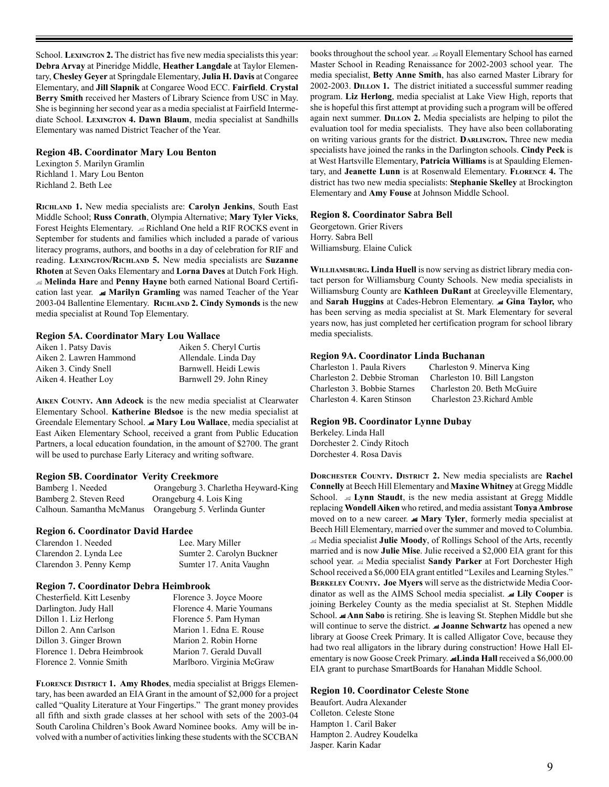School. **LEXINGTON 2.** The district has five new media specialists this year: **Debra Arvay** at Pineridge Middle, **Heather Langdale** at Taylor Elementary, **Chesley Geyer** at Springdale Elementary, **Julia H. Davis** at Congaree Elementary, and **Jill Slapnik** at Congaree Wood ECC. **Fairfield**. **Crystal Berry Smith** received her Masters of Library Science from USC in May. She is beginning her second year as a media specialist at Fairfield Intermediate School. **LEXINGTON 4. Dawn Blaum**, media specialist at Sandhills Elementary was named District Teacher of the Year.

#### **Region 4B. Coordinator Mary Lou Benton**

Lexington 5. Marilyn Gramlin Richland 1. Mary Lou Benton Richland 2. Beth Lee

**RICHLAND 1.** New media specialists are: **Carolyn Jenkins**, South East Middle School; **Russ Conrath**, Olympia Alternative; **Mary Tyler Vicks**, Forest Heights Elementary. Richland One held a RIF ROCKS event in September for students and families which included a parade of various literacy programs, authors, and booths in a day of celebration for RIF and reading. **LEXINGTON/RICHLAND 5.** New media specialists are **Suzanne Rhoten** at Seven Oaks Elementary and **Lorna Daves** at Dutch Fork High. **Melinda Hare** and **Penny Hayne** both earned National Board Certification last year.  **Marilyn Gramling** was named Teacher of the Year 2003-04 Ballentine Elementary. **RICHLAND 2. Cindy Symonds** is the new media specialist at Round Top Elementary.

### **Region 5A. Coordinator Mary Lou Wallace**

| Aiken 1. Patsy Davis    | Aiken 5. Cheryl Curtis  |
|-------------------------|-------------------------|
| Aiken 2. Lawren Hammond | Allendale. Linda Day    |
| Aiken 3. Cindy Snell    | Barnwell. Heidi Lewis   |
| Aiken 4. Heather Loy    | Barnwell 29. John Riney |

**AIKEN COUNTY. Ann Adcock** is the new media specialist at Clearwater Elementary School. **Katherine Bledsoe** is the new media specialist at Greendale Elementary School.  **Mary Lou Wallace**, media specialist at East Aiken Elementary School, received a grant from Public Education Partners, a local education foundation, in the amount of \$2700. The grant will be used to purchase Early Literacy and writing software.

### **Region 5B. Coordinator Verity Creekmore**

Bamberg 1. Needed Orangeburg 3. Charletha Heyward-King Bamberg 2. Steven Reed Orangeburg 4. Lois King Calhoun. Samantha McManus Orangeburg 5. Verlinda Gunter

### **Region 6. Coordinator David Hardee**

| Clarendon 1. Needed     | Lee. Mary Miller          |
|-------------------------|---------------------------|
| Clarendon 2. Lynda Lee  | Sumter 2. Carolyn Buckner |
| Clarendon 3. Penny Kemp | Sumter 17. Anita Vaughn   |

#### **Region 7. Coordinator Debra Heimbrook**

| Chesterfield. Kitt Lesenby  | Florence 3. Joyce Moore   |
|-----------------------------|---------------------------|
| Darlington. Judy Hall       | Florence 4. Marie Youmans |
| Dillon 1. Liz Herlong       | Florence 5. Pam Hyman     |
| Dillon 2. Ann Carlson       | Marion 1. Edna E. Rouse   |
| Dillon 3. Ginger Brown      | Marion 2. Robin Horne     |
| Florence 1. Debra Heimbrook | Marion 7. Gerald Duvall   |
| Florence 2. Vonnie Smith    | Marlboro. Virginia McGraw |

**FLORENCE DISTRICT 1. Amy Rhodes**, media specialist at Briggs Elementary, has been awarded an EIA Grant in the amount of \$2,000 for a project called "Quality Literature at Your Fingertips." The grant money provides all fifth and sixth grade classes at her school with sets of the 2003-04 South Carolina Children's Book Award Nominee books. Amy will be involved with a number of activities linking these students with the SCCBAN

books throughout the school year. Royall Elementary School has earned Master School in Reading Renaissance for 2002-2003 school year. The media specialist, **Betty Anne Smith**, has also earned Master Library for 2002-2003. **DILLON 1.** The district initiated a successful summer reading program. **Liz Herlong**, media specialist at Lake View High, reports that she is hopeful this first attempt at providing such a program will be offered again next summer. **DILLON 2.** Media specialists are helping to pilot the evaluation tool for media specialists. They have also been collaborating on writing various grants for the district. **DARLINGTON.** Three new media specialists have joined the ranks in the Darlington schools. **Cindy Peck** is at West Hartsville Elementary, **Patricia Williams** is at Spaulding Elementary, and **Jeanette Lunn** is at Rosenwald Elementary. **FLORENCE 4.** The district has two new media specialists: **Stephanie Skelley** at Brockington Elementary and **Amy Fouse** at Johnson Middle School.

#### **Region 8. Coordinator Sabra Bell**

Georgetown. Grier Rivers Horry. Sabra Bell Williamsburg. Elaine Culick

**WILLIIAMSBURG. Linda Huell** is now serving as district library media contact person for Williamsburg County Schools. New media specialists in Williamsburg County are **Kathleen DuRant** at Greeleyville Elementary, and **Sarah Huggins** at Cades-Hebron Elementary.  **Gina Taylor,** who has been serving as media specialist at St. Mark Elementary for several years now, has just completed her certification program for school library media specialists.

#### **Region 9A. Coordinator Linda Buchanan**

| Charleston 1. Paula Rivers   | Charleston 9. Minerva King   |
|------------------------------|------------------------------|
| Charleston 2. Debbie Stroman | Charleston 10. Bill Langston |
| Charleston 3. Bobbie Starnes | Charleston 20. Beth McGuire  |
| Charleston 4. Karen Stinson  | Charleston 23. Richard Amble |

#### **Region 9B. Coordinator Lynne Dubay**

Berkeley. Linda Hall Dorchester 2. Cindy Ritoch Dorchester 4. Rosa Davis

**DORCHESTER COUNTY. DISTRICT 2.** New media specialists are **Rachel Connelly** at Beech Hill Elementary and **Maxine Whitney** at Gregg Middle School. **Lynn Staudt**, is the new media assistant at Gregg Middle replacing **Wondell Aiken** who retired, and media assistant **Tonya Ambrose** moved on to a new career. **Mary Tyler**, formerly media specialist at Beech Hill Elementary, married over the summer and moved to Columbia. Media specialist **Julie Moody**, of Rollings School of the Arts, recently married and is now **Julie Mise**. Julie received a \$2,000 EIA grant for this school year. Media specialist **Sandy Parker** at Fort Dorchester High School received a \$6,000 EIA grant entitled "Lexiles and Learning Styles." **BERKELEY COUNTY. Joe Myers** will serve as the districtwide Media Coordinator as well as the AIMS School media specialist.  **Lily Cooper** is joining Berkeley County as the media specialist at St. Stephen Middle School.  **Ann Sabo** is retiring. She is leaving St. Stephen Middle but she will continue to serve the district. **I Joanne Schwartz** has opened a new library at Goose Creek Primary. It is called Alligator Cove, because they had two real alligators in the library during construction! Howe Hall Elementary is now Goose Creek Primary. **Linda Hall** received a \$6,000.00 EIA grant to purchase SmartBoards for Hanahan Middle School.

### **Region 10. Coordinator Celeste Stone**

Beaufort. Audra Alexander Colleton. Celeste Stone Hampton 1. Caril Baker Hampton 2. Audrey Koudelka Jasper. Karin Kadar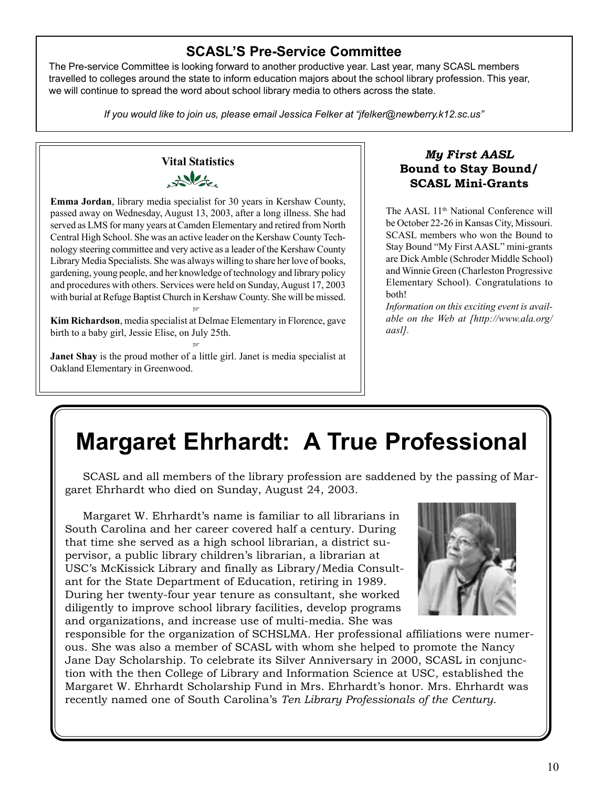10

### **SCASL'S Pre-Service Committee**

The Pre-service Committee is looking forward to another productive year. Last year, many SCASL members travelled to colleges around the state to inform education majors about the school library profession. This year, we will continue to spread the word about school library media to others across the state.

*If you would like to join us, please email Jessica Felker at "jfelker@newberry.k12.sc.us"*

### **Vital Statistics**  $x^{\text{N}}$

**Emma Jordan**, library media specialist for 30 years in Kershaw County, passed away on Wednesday, August 13, 2003, after a long illness. She had served as LMS for many years at Camden Elementary and retired from North Central High School. She was an active leader on the Kershaw County Technology steering committee and very active as a leader of the Kershaw County Library Media Specialists. She was always willing to share her love of books, gardening, young people, and her knowledge of technology and library policy and procedures with others. Services were held on Sunday, August 17, 2003 with burial at Refuge Baptist Church in Kershaw County. She will be missed. -

**Kim Richardson**, media specialist at Delmae Elementary in Florence, gave birth to a baby girl, Jessie Elise, on July 25th. -

**Janet Shay** is the proud mother of a little girl. Janet is media specialist at Oakland Elementary in Greenwood.

### *My First AASL* **Bound to Stay Bound/ SCASL Mini-Grants**

The AASL 11<sup>th</sup> National Conference will be October 22-26 in Kansas City, Missouri. SCASL members who won the Bound to Stay Bound "My First AASL" mini-grants are Dick Amble (Schroder Middle School) and Winnie Green (Charleston Progressive Elementary School). Congratulations to both!

*Information on this exciting event is available on the Web at [http://www.ala.org/ aasl].*

# **Margaret Ehrhardt: A True Professional**

SCASL and all members of the library profession are saddened by the passing of Margaret Ehrhardt who died on Sunday, August 24, 2003.

Margaret W. Ehrhardt's name is familiar to all librarians in South Carolina and her career covered half a century. During that time she served as a high school librarian, a district supervisor, a public library children's librarian, a librarian at USC's McKissick Library and finally as Library/Media Consultant for the State Department of Education, retiring in 1989. During her twenty-four year tenure as consultant, she worked diligently to improve school library facilities, develop programs and organizations, and increase use of multi-media. She was

responsible for the organization of SCHSLMA. Her professional affiliations were numerous. She was also a member of SCASL with whom she helped to promote the Nancy Jane Day Scholarship. To celebrate its Silver Anniversary in 2000, SCASL in conjunction with the then College of Library and Information Science at USC, established the Margaret W. Ehrhardt Scholarship Fund in Mrs. Ehrhardt's honor. Mrs. Ehrhardt was recently named one of South Carolina's *Ten Library Professionals of the Century.*

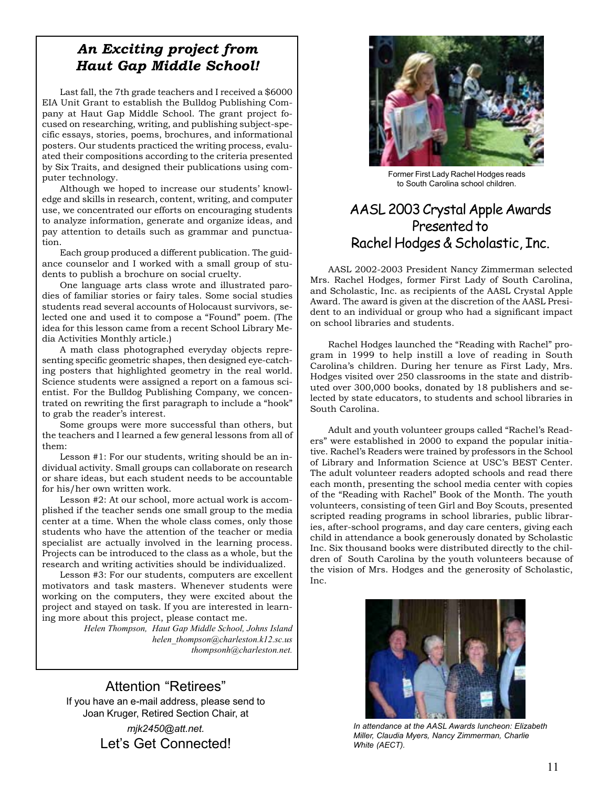### *An Exciting project from Haut Gap Middle School!*

Last fall, the 7th grade teachers and I received a \$6000 EIA Unit Grant to establish the Bulldog Publishing Company at Haut Gap Middle School. The grant project focused on researching, writing, and publishing subject-specific essays, stories, poems, brochures, and informational posters. Our students practiced the writing process, evaluated their compositions according to the criteria presented by Six Traits, and designed their publications using computer technology.

Although we hoped to increase our students' knowledge and skills in research, content, writing, and computer use, we concentrated our efforts on encouraging students to analyze information, generate and organize ideas, and pay attention to details such as grammar and punctuation.

Each group produced a different publication. The guidance counselor and I worked with a small group of students to publish a brochure on social cruelty.

One language arts class wrote and illustrated parodies of familiar stories or fairy tales. Some social studies students read several accounts of Holocaust survivors, selected one and used it to compose a "Found" poem. (The idea for this lesson came from a recent School Library Media Activities Monthly article.)

A math class photographed everyday objects representing specific geometric shapes, then designed eye-catching posters that highlighted geometry in the real world. Science students were assigned a report on a famous scientist. For the Bulldog Publishing Company, we concentrated on rewriting the first paragraph to include a "hook" to grab the reader's interest.

Some groups were more successful than others, but the teachers and I learned a few general lessons from all of them:

Lesson #1: For our students, writing should be an individual activity. Small groups can collaborate on research or share ideas, but each student needs to be accountable for his/her own written work.

Lesson #2: At our school, more actual work is accomplished if the teacher sends one small group to the media center at a time. When the whole class comes, only those students who have the attention of the teacher or media specialist are actually involved in the learning process. Projects can be introduced to the class as a whole, but the research and writing activities should be individualized.

Lesson #3: For our students, computers are excellent motivators and task masters. Whenever students were working on the computers, they were excited about the project and stayed on task. If you are interested in learning more about this project, please contact me.

*Helen Thompson, Haut Gap Middle School, Johns Island helen\_thompson@charleston.k12.sc.us thompsonh@charleston.net.*

Attention "Retirees" If you have an e-mail address, please send to Joan Kruger, Retired Section Chair, at *mjk2450@att.net.* Let's Get Connected!



Former First Lady Rachel Hodges reads to South Carolina school children.

### AASL 2003 Crystal Apple Awards Presented to Rachel Hodges & Scholastic, Inc.

AASL 2002-2003 President Nancy Zimmerman selected Mrs. Rachel Hodges, former First Lady of South Carolina, and Scholastic, Inc. as recipients of the AASL Crystal Apple Award. The award is given at the discretion of the AASL President to an individual or group who had a significant impact on school libraries and students.

Rachel Hodges launched the "Reading with Rachel" program in 1999 to help instill a love of reading in South Carolina's children. During her tenure as First Lady, Mrs. Hodges visited over 250 classrooms in the state and distributed over 300,000 books, donated by 18 publishers and selected by state educators, to students and school libraries in South Carolina.

Adult and youth volunteer groups called "Rachel's Readers" were established in 2000 to expand the popular initiative. Rachel's Readers were trained by professors in the School of Library and Information Science at USC's BEST Center. The adult volunteer readers adopted schools and read there each month, presenting the school media center with copies of the "Reading with Rachel" Book of the Month. The youth volunteers, consisting of teen Girl and Boy Scouts, presented scripted reading programs in school libraries, public libraries, after-school programs, and day care centers, giving each child in attendance a book generously donated by Scholastic Inc. Six thousand books were distributed directly to the children of South Carolina by the youth volunteers because of the vision of Mrs. Hodges and the generosity of Scholastic, Inc.



*In attendance at the AASL Awards luncheon: Elizabeth Miller, Claudia Myers, Nancy Zimmerman, Charlie White (AECT).*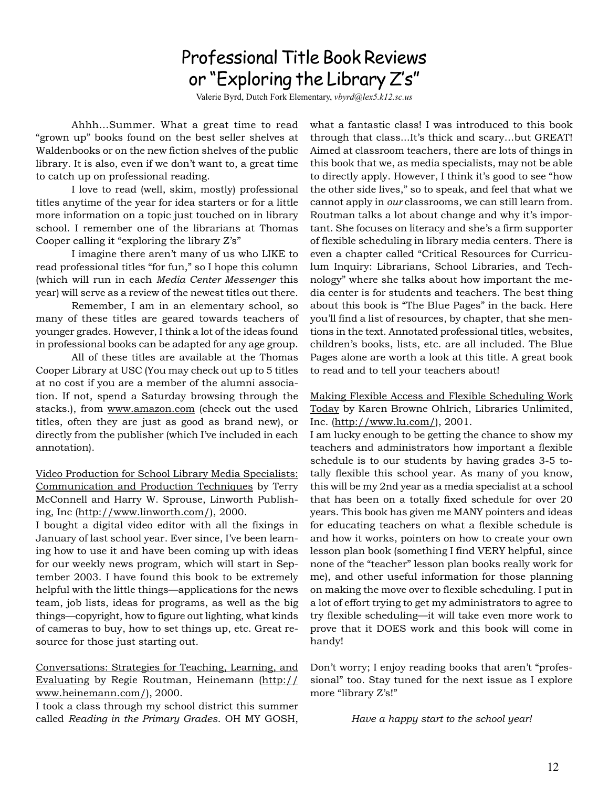## Professional Title Book Reviews or "Exploring the Library Z's"

Valerie Byrd, Dutch Fork Elementary, *vbyrd@lex5.k12.sc.us*

Ahhh…Summer. What a great time to read "grown up" books found on the best seller shelves at Waldenbooks or on the new fiction shelves of the public library. It is also, even if we don't want to, a great time to catch up on professional reading.

I love to read (well, skim, mostly) professional titles anytime of the year for idea starters or for a little more information on a topic just touched on in library school. I remember one of the librarians at Thomas Cooper calling it "exploring the library Z's"

I imagine there aren't many of us who LIKE to read professional titles "for fun," so I hope this column (which will run in each *Media Center Messenger* this year) will serve as a review of the newest titles out there.

Remember, I am in an elementary school, so many of these titles are geared towards teachers of younger grades. However, I think a lot of the ideas found in professional books can be adapted for any age group.

All of these titles are available at the Thomas Cooper Library at USC (You may check out up to 5 titles at no cost if you are a member of the alumni association. If not, spend a Saturday browsing through the stacks.), from www.amazon.com (check out the used titles, often they are just as good as brand new), or directly from the publisher (which I've included in each annotation).

Video Production for School Library Media Specialists: Communication and Production Techniques by Terry McConnell and Harry W. Sprouse, Linworth Publishing, Inc (http://www.linworth.com/), 2000.

I bought a digital video editor with all the fixings in January of last school year. Ever since, I've been learning how to use it and have been coming up with ideas for our weekly news program, which will start in September 2003. I have found this book to be extremely helpful with the little things—applications for the news team, job lists, ideas for programs, as well as the big things—copyright, how to figure out lighting, what kinds of cameras to buy, how to set things up, etc. Great resource for those just starting out.

Conversations: Strategies for Teaching, Learning, and Evaluating by Regie Routman, Heinemann (http:// www.heinemann.com/), 2000.

I took a class through my school district this summer called *Reading in the Primary Grades*. OH MY GOSH, what a fantastic class! I was introduced to this book through that class...It's thick and scary…but GREAT! Aimed at classroom teachers, there are lots of things in this book that we, as media specialists, may not be able to directly apply. However, I think it's good to see "how the other side lives," so to speak, and feel that what we cannot apply in *our* classrooms, we can still learn from. Routman talks a lot about change and why it's important. She focuses on literacy and she's a firm supporter of flexible scheduling in library media centers. There is even a chapter called "Critical Resources for Curriculum Inquiry: Librarians, School Libraries, and Technology" where she talks about how important the media center is for students and teachers. The best thing about this book is "The Blue Pages" in the back. Here you'll find a list of resources, by chapter, that she mentions in the text. Annotated professional titles, websites, children's books, lists, etc. are all included. The Blue Pages alone are worth a look at this title. A great book to read and to tell your teachers about!

Making Flexible Access and Flexible Scheduling Work Today by Karen Browne Ohlrich, Libraries Unlimited, Inc. (http://www.lu.com/), 2001.

I am lucky enough to be getting the chance to show my teachers and administrators how important a flexible schedule is to our students by having grades 3-5 totally flexible this school year. As many of you know, this will be my 2nd year as a media specialist at a school that has been on a totally fixed schedule for over 20 years. This book has given me MANY pointers and ideas for educating teachers on what a flexible schedule is and how it works, pointers on how to create your own lesson plan book (something I find VERY helpful, since none of the "teacher" lesson plan books really work for me), and other useful information for those planning on making the move over to flexible scheduling. I put in a lot of effort trying to get my administrators to agree to try flexible scheduling—it will take even more work to prove that it DOES work and this book will come in handy!

Don't worry; I enjoy reading books that aren't "professional" too. Stay tuned for the next issue as I explore more "library Z's!"

*Have a happy start to the school year!*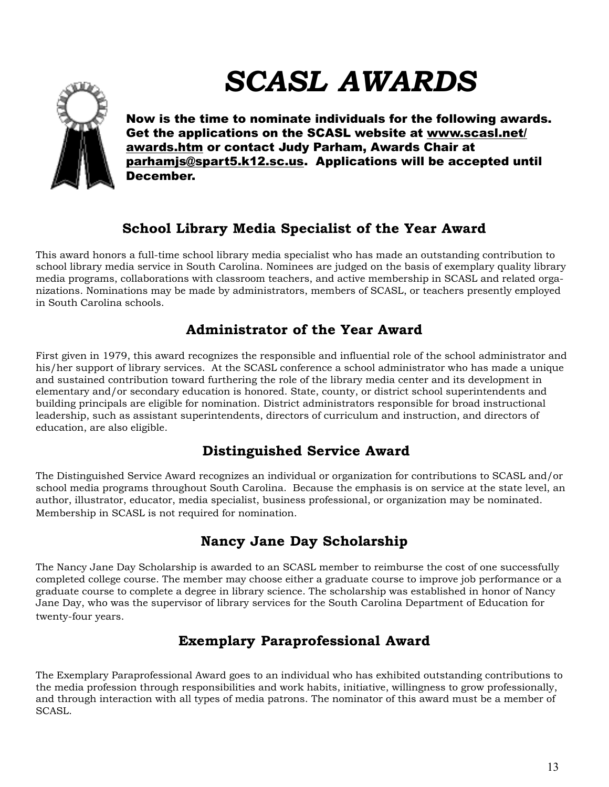# *SCASL AWARDS*



Now is the time to nominate individuals for the following awards. Get the applications on the SCASL website at www.scasl.net/ awards.htm or contact Judy Parham, Awards Chair at parhamjs@spart5.k12.sc.us. Applications will be accepted until December.

### **School Library Media Specialist of the Year Award**

This award honors a full-time school library media specialist who has made an outstanding contribution to school library media service in South Carolina. Nominees are judged on the basis of exemplary quality library media programs, collaborations with classroom teachers, and active membership in SCASL and related organizations. Nominations may be made by administrators, members of SCASL, or teachers presently employed in South Carolina schools.

### **Administrator of the Year Award**

First given in 1979, this award recognizes the responsible and influential role of the school administrator and his/her support of library services. At the SCASL conference a school administrator who has made a unique and sustained contribution toward furthering the role of the library media center and its development in elementary and/or secondary education is honored. State, county, or district school superintendents and building principals are eligible for nomination. District administrators responsible for broad instructional leadership, such as assistant superintendents, directors of curriculum and instruction, and directors of education, are also eligible.

### **Distinguished Service Award**

The Distinguished Service Award recognizes an individual or organization for contributions to SCASL and/or school media programs throughout South Carolina. Because the emphasis is on service at the state level, an author, illustrator, educator, media specialist, business professional, or organization may be nominated. Membership in SCASL is not required for nomination.

### **Nancy Jane Day Scholarship**

The Nancy Jane Day Scholarship is awarded to an SCASL member to reimburse the cost of one successfully completed college course. The member may choose either a graduate course to improve job performance or a graduate course to complete a degree in library science. The scholarship was established in honor of Nancy Jane Day, who was the supervisor of library services for the South Carolina Department of Education for twenty-four years.

### **Exemplary Paraprofessional Award**

The Exemplary Paraprofessional Award goes to an individual who has exhibited outstanding contributions to the media profession through responsibilities and work habits, initiative, willingness to grow professionally, and through interaction with all types of media patrons. The nominator of this award must be a member of SCASL.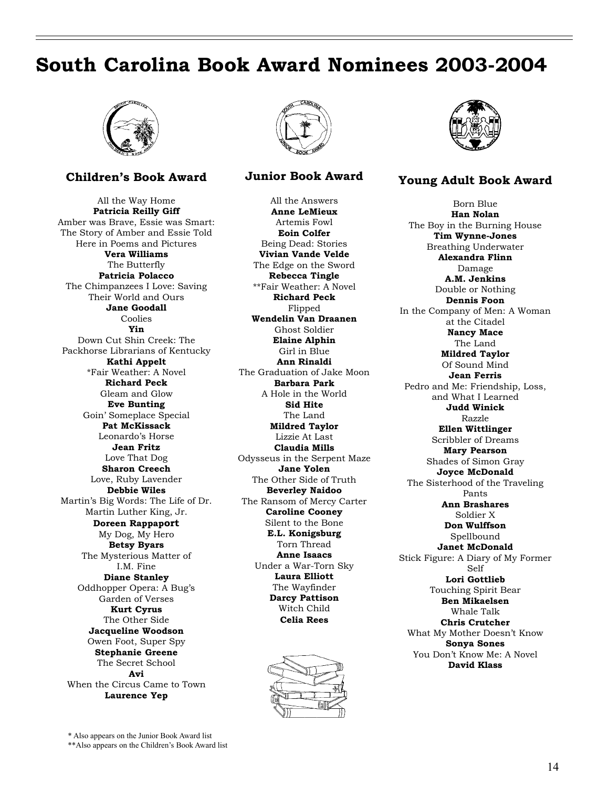## **South Carolina Book Award Nominees 2003-2004**



### **Children's Book Award**

All the Way Home **Patricia Reilly Giff** Amber was Brave, Essie was Smart: The Story of Amber and Essie Told Here in Poems and Pictures **Vera Williams** The Butterfly **Patricia Polacco** The Chimpanzees I Love: Saving Their World and Ours **Jane Goodall** Coolies **Yin** Down Cut Shin Creek: The Packhorse Librarians of Kentucky **Kathi Appelt** \*Fair Weather: A Novel **Richard Peck** Gleam and Glow **Eve Bunting** Goin' Someplace Special **Pat McKissack** Leonardo's Horse **Jean Fritz** Love That Dog **Sharon Creech** Love, Ruby Lavender **Debbie Wiles** Martin's Big Words: The Life of Dr. Martin Luther King, Jr. **Doreen Rappaport** My Dog, My Hero **Betsy Byars** The Mysterious Matter of I.M. Fine **Diane Stanley** Oddhopper Opera: A Bug's Garden of Verses **Kurt Cyrus** The Other Side **Jacqueline Woodson** Owen Foot, Super Spy **Stephanie Greene** The Secret School **Avi** When the Circus Came to Town **Laurence Yep**



### **Junior Book Award**

All the Answers **Anne LeMieux** Artemis Fowl **Eoin Colfer** Being Dead: Stories **Vivian Vande Velde** The Edge on the Sword **Rebecca Tingle** \*\*Fair Weather: A Novel **Richard Peck** Flipped **Wendelin Van Draanen** Ghost Soldier **Elaine Alphin** Girl in Blue **Ann Rinaldi** The Graduation of Jake Moon **Barbara Park** A Hole in the World **Sid Hite** The Land **Mildred Taylor** Lizzie At Last **Claudia Mills** Odysseus in the Serpent Maze **Jane Yolen** The Other Side of Truth **Beverley Naidoo** The Ransom of Mercy Carter **Caroline Cooney** Silent to the Bone **E.L. Konigsburg** Torn Thread **Anne Isaacs** Under a War-Torn Sky **Laura Elliott** The Wayfinder **Darcy Pattison** Witch Child **Celia Rees**





### **Young Adult Book Award**

Born Blue **Han Nolan** The Boy in the Burning House **Tim Wynne-Jones** Breathing Underwater **Alexandra Flinn** Damage **A.M. Jenkins** Double or Nothing **Dennis Foon** In the Company of Men: A Woman at the Citadel **Nancy Mace** The Land **Mildred Taylor** Of Sound Mind **Jean Ferris** Pedro and Me: Friendship, Loss, and What I Learned **Judd Winick** Razzle **Ellen Wittlinger** Scribbler of Dreams **Mary Pearson** Shades of Simon Gray **Joyce McDonald** The Sisterhood of the Traveling Pants **Ann Brashares** Soldier X **Don Wulffson** Spellbound **Janet McDonald** Stick Figure: A Diary of My Former Self **Lori Gottlieb** Touching Spirit Bear **Ben Mikaelsen** Whale Talk **Chris Crutcher** What My Mother Doesn't Know **Sonya Sones** You Don't Know Me: A Novel **David Klass**

\* Also appears on the Junior Book Award list \*\*Also appears on the Children's Book Award list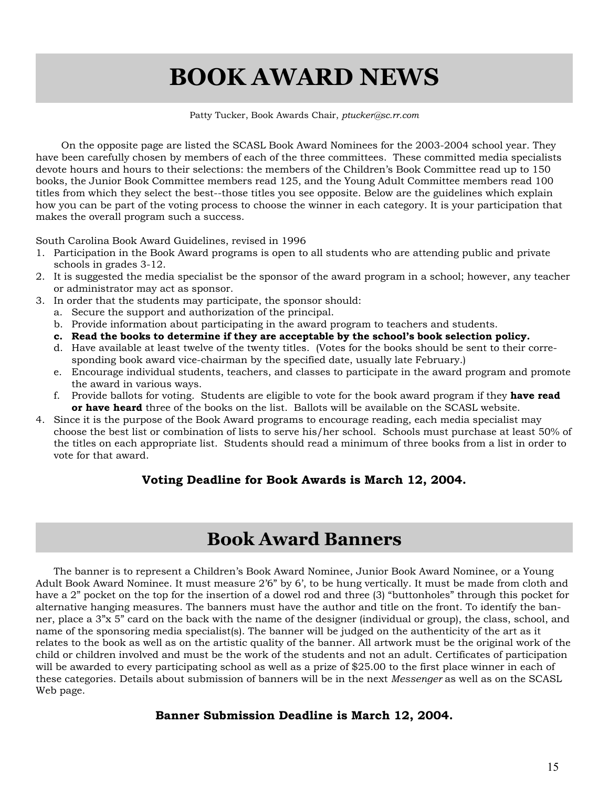# **BOOK AWARD NEWS**

### Patty Tucker, Book Awards Chair, *ptucker@sc.rr.com*

 On the opposite page are listed the SCASL Book Award Nominees for the 2003-2004 school year. They have been carefully chosen by members of each of the three committees. These committed media specialists devote hours and hours to their selections: the members of the Children's Book Committee read up to 150 books, the Junior Book Committee members read 125, and the Young Adult Committee members read 100 titles from which they select the best--those titles you see opposite. Below are the guidelines which explain how you can be part of the voting process to choose the winner in each category. It is your participation that makes the overall program such a success.

South Carolina Book Award Guidelines, revised in 1996

- 1. Participation in the Book Award programs is open to all students who are attending public and private schools in grades 3-12.
- 2. It is suggested the media specialist be the sponsor of the award program in a school; however, any teacher or administrator may act as sponsor.
- 3. In order that the students may participate, the sponsor should:
	- a. Secure the support and authorization of the principal.
	- b. Provide information about participating in the award program to teachers and students.
	- **c. Read the books to determine if they are acceptable by the school's book selection policy.**
	- d. Have available at least twelve of the twenty titles. (Votes for the books should be sent to their corresponding book award vice-chairman by the specified date, usually late February.)
	- e. Encourage individual students, teachers, and classes to participate in the award program and promote the award in various ways.
	- f. Provide ballots for voting. Students are eligible to vote for the book award program if they **have read or have heard** three of the books on the list. Ballots will be available on the SCASL website.
- 4. Since it is the purpose of the Book Award programs to encourage reading, each media specialist may choose the best list or combination of lists to serve his/her school. Schools must purchase at least 50% of the titles on each appropriate list. Students should read a minimum of three books from a list in order to vote for that award.

### **Voting Deadline for Book Awards is March 12, 2004.**

### **Book Award Banners**

The banner is to represent a Children's Book Award Nominee, Junior Book Award Nominee, or a Young Adult Book Award Nominee. It must measure 2'6" by 6', to be hung vertically. It must be made from cloth and have a 2" pocket on the top for the insertion of a dowel rod and three (3) "buttonholes" through this pocket for alternative hanging measures. The banners must have the author and title on the front. To identify the banner, place a 3"x 5" card on the back with the name of the designer (individual or group), the class, school, and name of the sponsoring media specialist(s). The banner will be judged on the authenticity of the art as it relates to the book as well as on the artistic quality of the banner. All artwork must be the original work of the child or children involved and must be the work of the students and not an adult. Certificates of participation will be awarded to every participating school as well as a prize of \$25.00 to the first place winner in each of these categories. Details about submission of banners will be in the next *Messenger* as well as on the SCASL Web page.

### **Banner Submission Deadline is March 12, 2004.**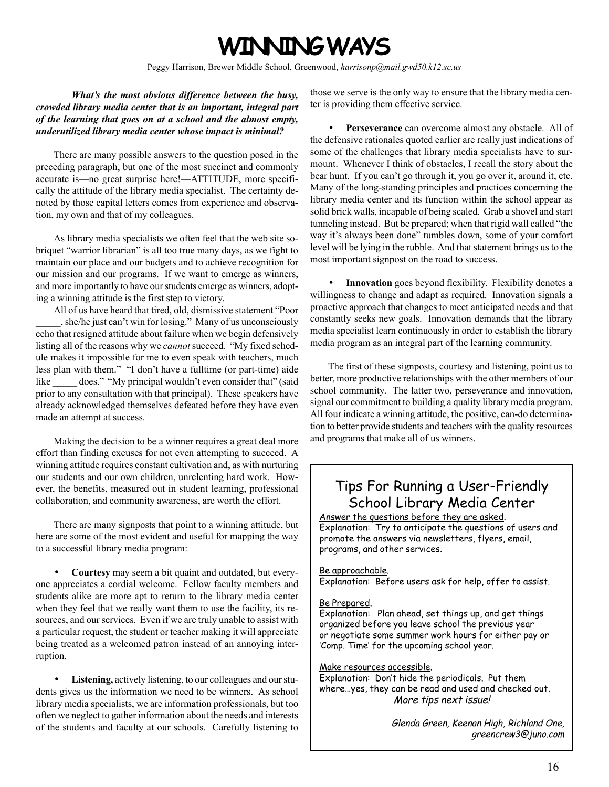# **WINNING WAYS**

Peggy Harrison, Brewer Middle School, Greenwood, *harrisonp@mail.gwd50.k12.sc.us*

*What's the most obvious difference between the busy, crowded library media center that is an important, integral part of the learning that goes on at a school and the almost empty, underutilized library media center whose impact is minimal?*

There are many possible answers to the question posed in the preceding paragraph, but one of the most succinct and commonly accurate is—no great surprise here!—ATTITUDE, more specifically the attitude of the library media specialist. The certainty denoted by those capital letters comes from experience and observation, my own and that of my colleagues.

As library media specialists we often feel that the web site sobriquet "warrior librarian" is all too true many days, as we fight to maintain our place and our budgets and to achieve recognition for our mission and our programs. If we want to emerge as winners, and more importantly to have our students emerge as winners, adopting a winning attitude is the first step to victory.

All of us have heard that tired, old, dismissive statement "Poor \_\_\_\_\_, she/he just can't win for losing." Many of us unconsciously echo that resigned attitude about failure when we begin defensively listing all of the reasons why we *cannot* succeed. "My fixed schedule makes it impossible for me to even speak with teachers, much less plan with them." "I don't have a fulltime (or part-time) aide like does." "My principal wouldn't even consider that" (said prior to any consultation with that principal). These speakers have already acknowledged themselves defeated before they have even made an attempt at success.

Making the decision to be a winner requires a great deal more effort than finding excuses for not even attempting to succeed. A winning attitude requires constant cultivation and, as with nurturing our students and our own children, unrelenting hard work. However, the benefits, measured out in student learning, professional collaboration, and community awareness, are worth the effort.

There are many signposts that point to a winning attitude, but here are some of the most evident and useful for mapping the way to a successful library media program:

• **Courtesy** may seem a bit quaint and outdated, but everyone appreciates a cordial welcome. Fellow faculty members and students alike are more apt to return to the library media center when they feel that we really want them to use the facility, its resources, and our services. Even if we are truly unable to assist with a particular request, the student or teacher making it will appreciate being treated as a welcomed patron instead of an annoying interruption.

Listening, actively listening, to our colleagues and our students gives us the information we need to be winners. As school library media specialists, we are information professionals, but too often we neglect to gather information about the needs and interests of the students and faculty at our schools. Carefully listening to

those we serve is the only way to ensure that the library media center is providing them effective service.

• **Perseverance** can overcome almost any obstacle. All of the defensive rationales quoted earlier are really just indications of some of the challenges that library media specialists have to surmount. Whenever I think of obstacles, I recall the story about the bear hunt. If you can't go through it, you go over it, around it, etc. Many of the long-standing principles and practices concerning the library media center and its function within the school appear as solid brick walls, incapable of being scaled. Grab a shovel and start tunneling instead. But be prepared; when that rigid wall called "the way it's always been done" tumbles down, some of your comfort level will be lying in the rubble. And that statement brings us to the most important signpost on the road to success.

• **Innovation** goes beyond flexibility. Flexibility denotes a willingness to change and adapt as required. Innovation signals a proactive approach that changes to meet anticipated needs and that constantly seeks new goals. Innovation demands that the library media specialist learn continuously in order to establish the library media program as an integral part of the learning community.

The first of these signposts, courtesy and listening, point us to better, more productive relationships with the other members of our school community. The latter two, perseverance and innovation, signal our commitment to building a quality library media program. All four indicate a winning attitude, the positive, can-do determination to better provide students and teachers with the quality resources and programs that make all of us winners.

### Tips For Running a User-Friendly School Library Media Center

Answer the questions before they are asked. Explanation: Try to anticipate the questions of users and promote the answers via newsletters, flyers, email, programs, and other services.

### Be approachable.

Explanation: Before users ask for help, offer to assist.

### Be Prepared.

Explanation: Plan ahead, set things up, and get things organized before you leave school the previous year or negotiate some summer work hours for either pay or 'Comp. Time' for the upcoming school year.

### Make resources accessible.

Explanation: Don't hide the periodicals. Put them where…yes, they can be read and used and checked out. More tips next issue!

> Glenda Green, Keenan High, Richland One, greencrew3@juno.com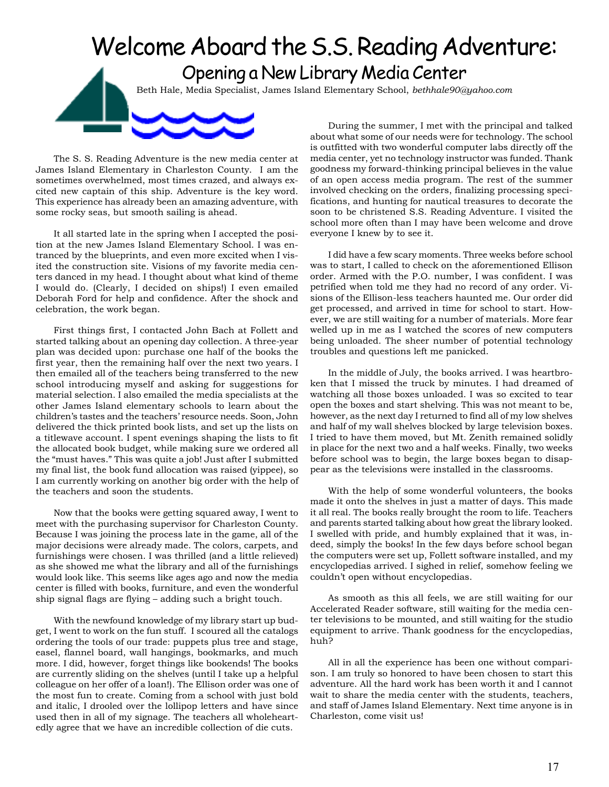# Welcome Aboard the S.S. Reading Adventure: Opening a New Library Media Center Beth Hale, Media Specialist, James Island Elementary School, *bethhale90@yahoo.com* During the summer, I met with the principal and talked

The S. S. Reading Adventure is the new media center at James Island Elementary in Charleston County. I am the sometimes overwhelmed, most times crazed, and always excited new captain of this ship. Adventure is the key word. This experience has already been an amazing adventure, with some rocky seas, but smooth sailing is ahead.

It all started late in the spring when I accepted the position at the new James Island Elementary School. I was entranced by the blueprints, and even more excited when I visited the construction site. Visions of my favorite media centers danced in my head. I thought about what kind of theme I would do. (Clearly, I decided on ships!) I even emailed Deborah Ford for help and confidence. After the shock and celebration, the work began.

First things first, I contacted John Bach at Follett and started talking about an opening day collection. A three-year plan was decided upon: purchase one half of the books the first year, then the remaining half over the next two years. I then emailed all of the teachers being transferred to the new school introducing myself and asking for suggestions for material selection. I also emailed the media specialists at the other James Island elementary schools to learn about the children's tastes and the teachers' resource needs. Soon, John delivered the thick printed book lists, and set up the lists on a titlewave account. I spent evenings shaping the lists to fit the allocated book budget, while making sure we ordered all the "must haves." This was quite a job! Just after I submitted my final list, the book fund allocation was raised (yippee), so I am currently working on another big order with the help of the teachers and soon the students.

Now that the books were getting squared away, I went to meet with the purchasing supervisor for Charleston County. Because I was joining the process late in the game, all of the major decisions were already made. The colors, carpets, and furnishings were chosen. I was thrilled (and a little relieved) as she showed me what the library and all of the furnishings would look like. This seems like ages ago and now the media center is filled with books, furniture, and even the wonderful ship signal flags are flying – adding such a bright touch.

With the newfound knowledge of my library start up budget, I went to work on the fun stuff. I scoured all the catalogs ordering the tools of our trade: puppets plus tree and stage, easel, flannel board, wall hangings, bookmarks, and much more. I did, however, forget things like bookends! The books are currently sliding on the shelves (until I take up a helpful colleague on her offer of a loan!). The Ellison order was one of the most fun to create. Coming from a school with just bold and italic, I drooled over the lollipop letters and have since used then in all of my signage. The teachers all wholeheartedly agree that we have an incredible collection of die cuts.

about what some of our needs were for technology. The school is outfitted with two wonderful computer labs directly off the media center, yet no technology instructor was funded. Thank goodness my forward-thinking principal believes in the value of an open access media program. The rest of the summer involved checking on the orders, finalizing processing specifications, and hunting for nautical treasures to decorate the soon to be christened S.S. Reading Adventure. I visited the school more often than I may have been welcome and drove everyone I knew by to see it.

I did have a few scary moments. Three weeks before school was to start, I called to check on the aforementioned Ellison order. Armed with the P.O. number, I was confident. I was petrified when told me they had no record of any order. Visions of the Ellison-less teachers haunted me. Our order did get processed, and arrived in time for school to start. However, we are still waiting for a number of materials. More fear welled up in me as I watched the scores of new computers being unloaded. The sheer number of potential technology troubles and questions left me panicked.

In the middle of July, the books arrived. I was heartbroken that I missed the truck by minutes. I had dreamed of watching all those boxes unloaded. I was so excited to tear open the boxes and start shelving. This was not meant to be, however, as the next day I returned to find all of my low shelves and half of my wall shelves blocked by large television boxes. I tried to have them moved, but Mt. Zenith remained solidly in place for the next two and a half weeks. Finally, two weeks before school was to begin, the large boxes began to disappear as the televisions were installed in the classrooms.

With the help of some wonderful volunteers, the books made it onto the shelves in just a matter of days. This made it all real. The books really brought the room to life. Teachers and parents started talking about how great the library looked. I swelled with pride, and humbly explained that it was, indeed, simply the books! In the few days before school began the computers were set up, Follett software installed, and my encyclopedias arrived. I sighed in relief, somehow feeling we couldn't open without encyclopedias.

As smooth as this all feels, we are still waiting for our Accelerated Reader software, still waiting for the media center televisions to be mounted, and still waiting for the studio equipment to arrive. Thank goodness for the encyclopedias, huh?

All in all the experience has been one without comparison. I am truly so honored to have been chosen to start this adventure. All the hard work has been worth it and I cannot wait to share the media center with the students, teachers, and staff of James Island Elementary. Next time anyone is in Charleston, come visit us!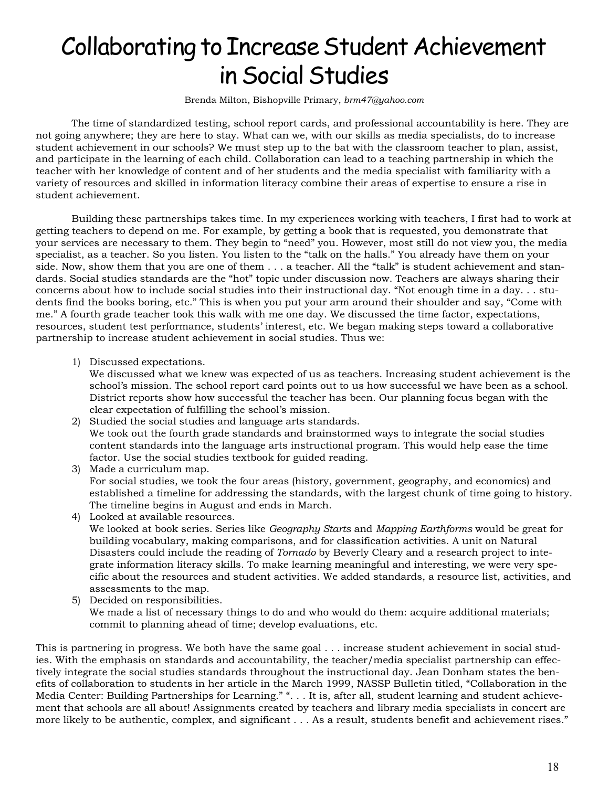# Collaborating to Increase Student Achievement in Social Studies

Brenda Milton, Bishopville Primary, *brm47@yahoo.com*

The time of standardized testing, school report cards, and professional accountability is here. They are not going anywhere; they are here to stay. What can we, with our skills as media specialists, do to increase student achievement in our schools? We must step up to the bat with the classroom teacher to plan, assist, and participate in the learning of each child. Collaboration can lead to a teaching partnership in which the teacher with her knowledge of content and of her students and the media specialist with familiarity with a variety of resources and skilled in information literacy combine their areas of expertise to ensure a rise in student achievement.

Building these partnerships takes time. In my experiences working with teachers, I first had to work at getting teachers to depend on me. For example, by getting a book that is requested, you demonstrate that your services are necessary to them. They begin to "need" you. However, most still do not view you, the media specialist, as a teacher. So you listen. You listen to the "talk on the halls." You already have them on your side. Now, show them that you are one of them . . . a teacher. All the "talk" is student achievement and standards. Social studies standards are the "hot" topic under discussion now. Teachers are always sharing their concerns about how to include social studies into their instructional day. "Not enough time in a day. . . students find the books boring, etc." This is when you put your arm around their shoulder and say, "Come with me." A fourth grade teacher took this walk with me one day. We discussed the time factor, expectations, resources, student test performance, students' interest, etc. We began making steps toward a collaborative partnership to increase student achievement in social studies. Thus we:

1) Discussed expectations.

We discussed what we knew was expected of us as teachers. Increasing student achievement is the school's mission. The school report card points out to us how successful we have been as a school. District reports show how successful the teacher has been. Our planning focus began with the clear expectation of fulfilling the school's mission.

- 2) Studied the social studies and language arts standards. We took out the fourth grade standards and brainstormed ways to integrate the social studies content standards into the language arts instructional program. This would help ease the time factor. Use the social studies textbook for guided reading.
- 3) Made a curriculum map. For social studies, we took the four areas (history, government, geography, and economics) and established a timeline for addressing the standards, with the largest chunk of time going to history. The timeline begins in August and ends in March. 4) Looked at available resources.
	- We looked at book series. Series like *Geography Starts* and *Mapping Earthforms* would be great for building vocabulary, making comparisons, and for classification activities. A unit on Natural Disasters could include the reading of *Tornado* by Beverly Cleary and a research project to integrate information literacy skills. To make learning meaningful and interesting, we were very specific about the resources and student activities. We added standards, a resource list, activities, and assessments to the map.
- 5) Decided on responsibilities. We made a list of necessary things to do and who would do them: acquire additional materials; commit to planning ahead of time; develop evaluations, etc.

This is partnering in progress. We both have the same goal . . . increase student achievement in social studies. With the emphasis on standards and accountability, the teacher/media specialist partnership can effectively integrate the social studies standards throughout the instructional day. Jean Donham states the benefits of collaboration to students in her article in the March 1999, NASSP Bulletin titled, "Collaboration in the Media Center: Building Partnerships for Learning." ". . . It is, after all, student learning and student achievement that schools are all about! Assignments created by teachers and library media specialists in concert are more likely to be authentic, complex, and significant . . . As a result, students benefit and achievement rises."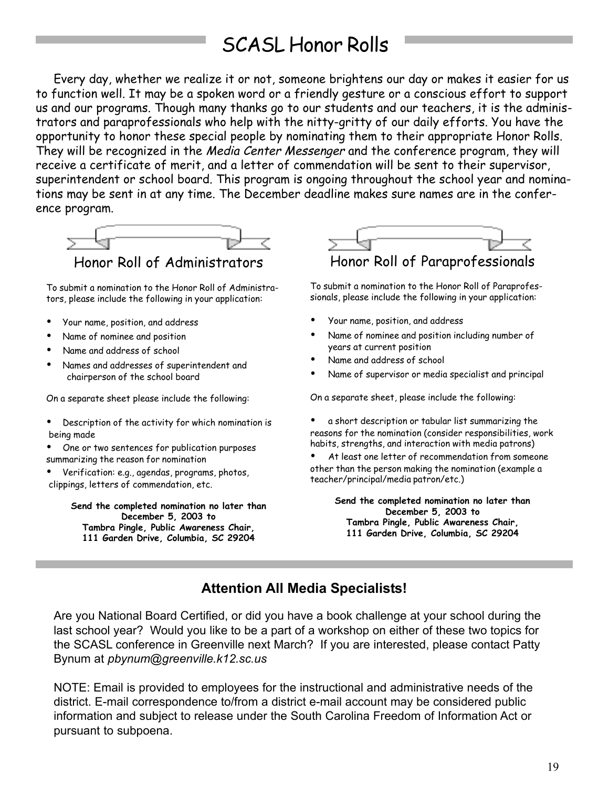# SCASL Honor Rolls

Every day, whether we realize it or not, someone brightens our day or makes it easier for us to function well. It may be a spoken word or a friendly gesture or a conscious effort to support us and our programs. Though many thanks go to our students and our teachers, it is the administrators and paraprofessionals who help with the nitty-gritty of our daily efforts. You have the opportunity to honor these special people by nominating them to their appropriate Honor Rolls. They will be recognized in the Media Center Messenger and the conference program, they will receive a certificate of merit, and a letter of commendation will be sent to their supervisor, superintendent or school board. This program is ongoing throughout the school year and nominations may be sent in at any time. The December deadline makes sure names are in the conference program.



To submit a nomination to the Honor Roll of Administrators, please include the following in your application:

- Your name, position, and address
- Name of nominee and position
- Name and address of school
- Names and addresses of superintendent and chairperson of the school board

On a separate sheet please include the following:

- Description of the activity for which nomination is being made
- One or two sentences for publication purposes summarizing the reason for nomination
- Verification: e.g., agendas, programs, photos, clippings, letters of commendation, etc.

**Send the completed nomination no later than December 5, 2003 to Tambra Pingle, Public Awareness Chair, 111 Garden Drive, Columbia, SC 29204**



To submit a nomination to the Honor Roll of Paraprofessionals, please include the following in your application:

- Your name, position, and address
- Name of nominee and position including number of years at current position
- Name and address of school
- Name of supervisor or media specialist and principal

On a separate sheet, please include the following:

• a short description or tabular list summarizing the reasons for the nomination (consider responsibilities, work habits, strengths, and interaction with media patrons)

At least one letter of recommendation from someone other than the person making the nomination (example a teacher/principal/media patron/etc.)

> **Send the completed nomination no later than December 5, 2003 to Tambra Pingle, Public Awareness Chair, 111 Garden Drive, Columbia, SC 29204**

### **Attention All Media Specialists!**

Are you National Board Certified, or did you have a book challenge at your school during the last school year? Would you like to be a part of a workshop on either of these two topics for the SCASL conference in Greenville next March? If you are interested, please contact Patty Bynum at *pbynum@greenville.k12.sc.us*

NOTE: Email is provided to employees for the instructional and administrative needs of the district. E-mail correspondence to/from a district e-mail account may be considered public information and subject to release under the South Carolina Freedom of Information Act or pursuant to subpoena.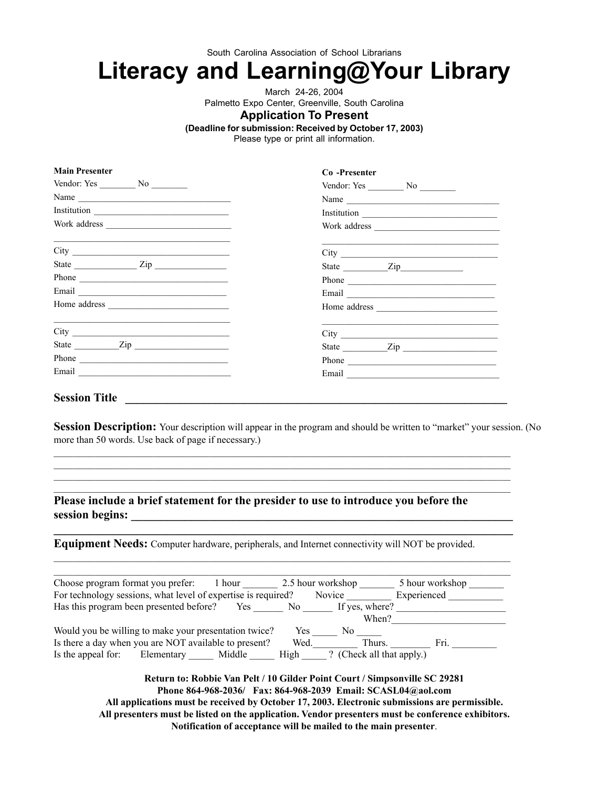South Carolina Association of School Librarians

# **Literacy and Learning@Your Library**

March 24-26, 2004

Palmetto Expo Center, Greenville, South Carolina

### **Application To Present**

**(Deadline for submission: Received by October 17, 2003)**

Please type or print all information.

| <b>Main Presenter</b>                                                                                                 | Co-Presenter      |
|-----------------------------------------------------------------------------------------------------------------------|-------------------|
| Vendor: Yes $\_\_\_\_\$ No $\_\_\_\_\_\$                                                                              | Vendor: Yes No No |
| Name $\overline{\phantom{a}}$                                                                                         | Name              |
|                                                                                                                       |                   |
|                                                                                                                       |                   |
| <u> 1999 - Jan Barbara de Santo de Santo de Santo de Santo de Santo de Santo de Santo de Santo de Santo de Santo </u> |                   |
|                                                                                                                       | State <u>Zip</u>  |
| Phone $\overline{\phantom{a} \phantom{a}}$                                                                            |                   |
|                                                                                                                       | Email             |
|                                                                                                                       | Home address      |
| <u> 1999 - Jan Barbara de Santo de Santo de Santo de Santo de Santo de Santo de Santo de Santo de Santo de Santo</u>  |                   |
| State <u>Zip</u>                                                                                                      |                   |
| Phone $\qquad$                                                                                                        | Phone             |
|                                                                                                                       |                   |
|                                                                                                                       |                   |

### Session Title **Letters Letters Letters Letters Letters Letters Letters Letters**

**Main Presenter**

**Session Description:** Your description will appear in the program and should be written to "market" your session. (No more than 50 words. Use back of page if necessary.)

**Please include a brief statement for the presider to use to introduce you before the session begins: \_\_\_\_\_\_\_\_\_\_\_\_\_\_\_\_\_\_\_\_\_\_\_\_\_\_\_\_\_\_\_\_\_\_\_\_\_\_\_\_\_\_\_\_\_\_\_\_\_\_\_\_\_\_\_\_\_\_\_\_\_\_\_\_**

**Equipment Needs:** Computer hardware, peripherals, and Internet connectivity will NOT be provided.

| Choose program format you prefer:                             |            | 1 hour |      | 2.5 hour workshop         | 5 hour workshop |
|---------------------------------------------------------------|------------|--------|------|---------------------------|-----------------|
| For technology sessions, what level of expertise is required? |            |        |      | Novice                    | Experienced     |
| Has this program been presented before?                       |            | Yes    | No.  | If yes, where?            |                 |
|                                                               |            |        |      | When?                     |                 |
| Would you be willing to make your presentation twice?         |            |        | Yes  | No.                       |                 |
| Is there a day when you are NOT available to present?         |            |        | Wed. | Thurs.                    | Fri.            |
| Is the appeal for:                                            | Elementary | Middle | High | ? (Check all that apply.) |                 |

 $\mathcal{L}_\mathcal{L} = \mathcal{L}_\mathcal{L} = \mathcal{L}_\mathcal{L} = \mathcal{L}_\mathcal{L} = \mathcal{L}_\mathcal{L} = \mathcal{L}_\mathcal{L} = \mathcal{L}_\mathcal{L} = \mathcal{L}_\mathcal{L} = \mathcal{L}_\mathcal{L} = \mathcal{L}_\mathcal{L} = \mathcal{L}_\mathcal{L} = \mathcal{L}_\mathcal{L} = \mathcal{L}_\mathcal{L} = \mathcal{L}_\mathcal{L} = \mathcal{L}_\mathcal{L} = \mathcal{L}_\mathcal{L} = \mathcal{L}_\mathcal{L}$ 

**Return to: Robbie Van Pelt / 10 Gilder Point Court / Simpsonville SC 29281 Phone 864-968-2036/ Fax: 864-968-2039 Email: SCASL04@aol.com All applications must be received by October 17, 2003. Electronic submissions are permissible. All presenters must be listed on the application. Vendor presenters must be conference exhibitors. Notification of acceptance will be mailed to the main presenter**.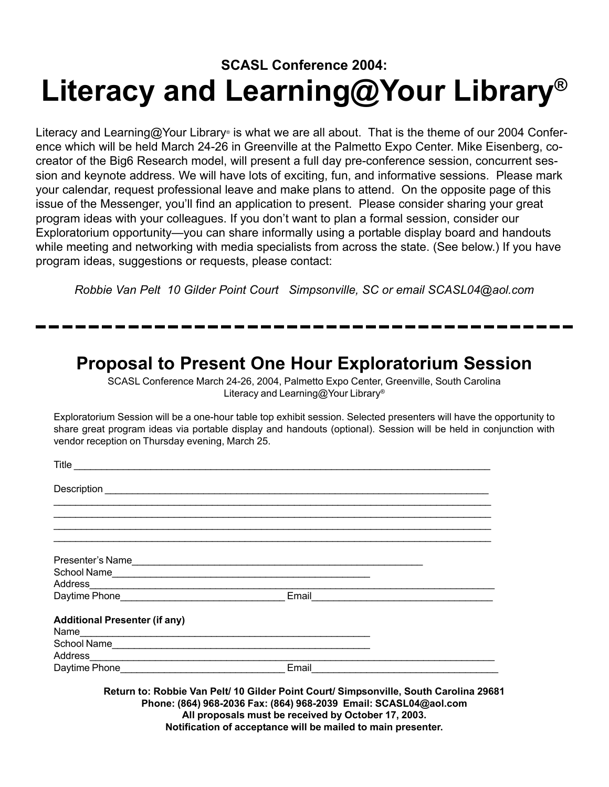# **SCASL Conference 2004: Literacy and Learning@Your Library®**

Literacy and Learning@Your Library® is what we are all about. That is the theme of our 2004 Conference which will be held March 24-26 in Greenville at the Palmetto Expo Center. Mike Eisenberg, cocreator of the Big6 Research model, will present a full day pre-conference session, concurrent session and keynote address. We will have lots of exciting, fun, and informative sessions. Please mark your calendar, request professional leave and make plans to attend. On the opposite page of this issue of the Messenger, you'll find an application to present. Please consider sharing your great program ideas with your colleagues. If you don't want to plan a formal session, consider our Exploratorium opportunity—you can share informally using a portable display board and handouts while meeting and networking with media specialists from across the state. (See below.) If you have program ideas, suggestions or requests, please contact:

*Robbie Van Pelt 10 Gilder Point Court Simpsonville, SC or email SCASL04@aol.com*

### **Proposal to Present One Hour Exploratorium Session**

SCASL Conference March 24-26, 2004, Palmetto Expo Center, Greenville, South Carolina Literacy and Learning@Your Library®

Exploratorium Session will be a one-hour table top exhibit session. Selected presenters will have the opportunity to share great program ideas via portable display and handouts (optional). Session will be held in conjunction with vendor reception on Thursday evening, March 25.

| Presenter's Name                     |                                               |
|--------------------------------------|-----------------------------------------------|
|                                      |                                               |
|                                      |                                               |
|                                      |                                               |
| <b>Additional Presenter (if any)</b> |                                               |
|                                      |                                               |
|                                      |                                               |
|                                      |                                               |
|                                      | Email <u>________________________________</u> |

**Phone: (864) 968-2036 Fax: (864) 968-2039 Email: SCASL04@aol.com All proposals must be received by October 17, 2003. Notification of acceptance will be mailed to main presenter.**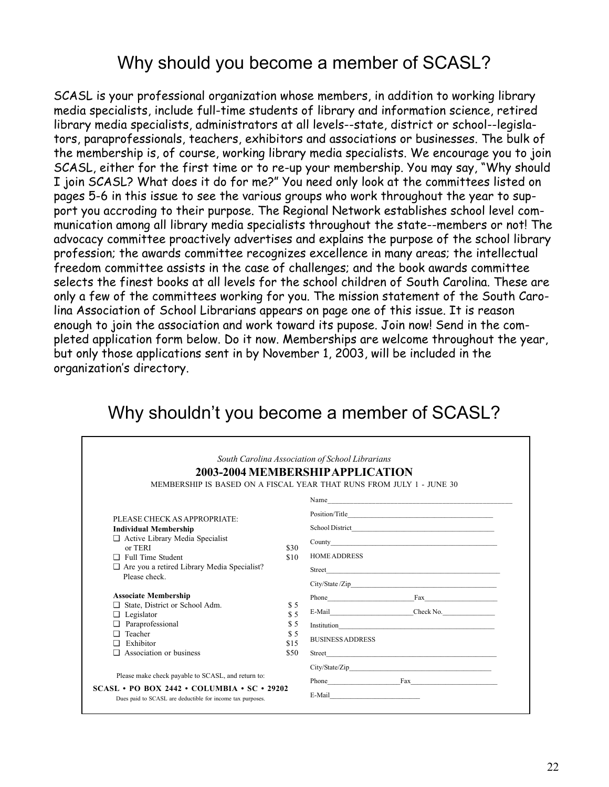## Why should you become a member of SCASL?

SCASL is your professional organization whose members, in addition to working library media specialists, include full-time students of library and information science, retired library media specialists, administrators at all levels--state, district or school--legislators, paraprofessionals, teachers, exhibitors and associations or businesses. The bulk of the membership is, of course, working library media specialists. We encourage you to join SCASL, either for the first time or to re-up your membership. You may say, "Why should I join SCASL? What does it do for me?" You need only look at the committees listed on pages 5-6 in this issue to see the various groups who work throughout the year to support you accroding to their purpose. The Regional Network establishes school level communication among all library media specialists throughout the state--members or not! The advocacy committee proactively advertises and explains the purpose of the school library profession; the awards committee recognizes excellence in many areas; the intellectual freedom committee assists in the case of challenges; and the book awards committee selects the finest books at all levels for the school children of South Carolina. These are only a few of the committees working for you. The mission statement of the South Carolina Association of School Librarians appears on page one of this issue. It is reason enough to join the association and work toward its pupose. Join now! Send in the completed application form below. Do it now. Memberships are welcome throughout the year, but only those applications sent in by November 1, 2003, will be included in the organization's directory.

| PLEASE CHECK AS APPROPRIATE:<br><b>Individual Membership</b> |              |                                                                                                                                                                                                                                |
|--------------------------------------------------------------|--------------|--------------------------------------------------------------------------------------------------------------------------------------------------------------------------------------------------------------------------------|
|                                                              |              |                                                                                                                                                                                                                                |
|                                                              |              |                                                                                                                                                                                                                                |
|                                                              |              |                                                                                                                                                                                                                                |
| $\Box$ Active Library Media Specialist                       |              |                                                                                                                                                                                                                                |
| or TERI<br>$\Box$ Full Time Student                          | \$30<br>\$10 | <b>HOME ADDRESS</b>                                                                                                                                                                                                            |
| $\Box$ Are you a retired Library Media Specialist?           |              |                                                                                                                                                                                                                                |
| Please check.                                                |              |                                                                                                                                                                                                                                |
| <b>Associate Membership</b>                                  |              | Phone Fax                                                                                                                                                                                                                      |
| State, District or School Adm.<br>⊔                          | \$ 5         |                                                                                                                                                                                                                                |
| $\Box$ Legislator                                            | \$5          | E-Mail Check No.                                                                                                                                                                                                               |
| Paraprofessional                                             | \$5          |                                                                                                                                                                                                                                |
| Teacher<br>n.                                                | \$5          | <b>BUSINESS ADDRESS</b>                                                                                                                                                                                                        |
| Exhibitor<br>n                                               | \$15         |                                                                                                                                                                                                                                |
| Association or business<br>n                                 | \$50         | Street and the state of the state of the state of the state of the state of the state of the state of the state of the state of the state of the state of the state of the state of the state of the state of the state of the |
|                                                              |              |                                                                                                                                                                                                                                |

## Why shouldn't you become a member of SCASL?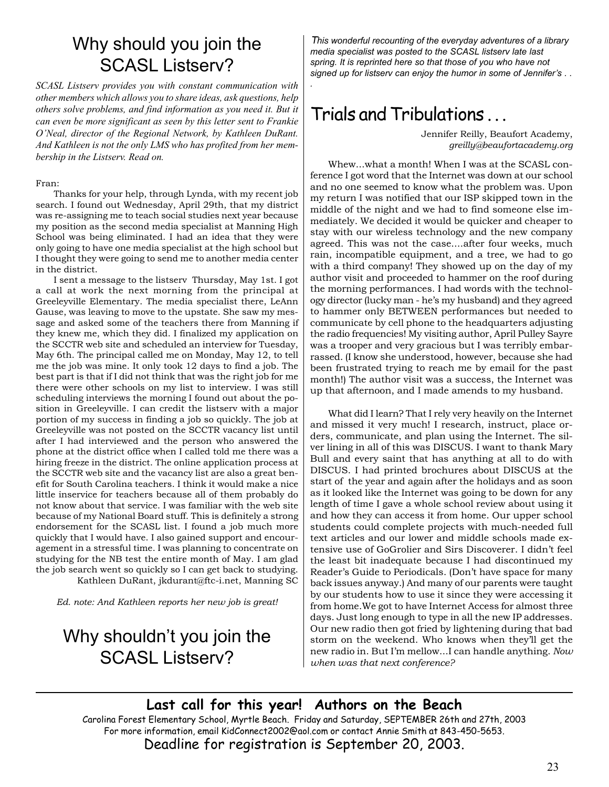## Why should you join the SCASL Listserv?

*SCASL Listserv provides you with constant communication with other members which allows you to share ideas, ask questions, help others solve problems, and find information as you need it. But it can even be more significant as seen by this letter sent to Frankie O'Neal, director of the Regional Network, by Kathleen DuRant. And Kathleen is not the only LMS who has profited from her membership in the Listserv. Read on.*

### Fran:

Thanks for your help, through Lynda, with my recent job search. I found out Wednesday, April 29th, that my district was re-assigning me to teach social studies next year because my position as the second media specialist at Manning High School was being eliminated. I had an idea that they were only going to have one media specialist at the high school but I thought they were going to send me to another media center in the district.

I sent a message to the listserv Thursday, May 1st. I got a call at work the next morning from the principal at Greeleyville Elementary. The media specialist there, LeAnn Gause, was leaving to move to the upstate. She saw my message and asked some of the teachers there from Manning if they knew me, which they did. I finalized my application on the SCCTR web site and scheduled an interview for Tuesday, May 6th. The principal called me on Monday, May 12, to tell me the job was mine. It only took 12 days to find a job. The best part is that if I did not think that was the right job for me there were other schools on my list to interview. I was still scheduling interviews the morning I found out about the position in Greeleyville. I can credit the listserv with a major portion of my success in finding a job so quickly. The job at Greeleyville was not posted on the SCCTR vacancy list until after I had interviewed and the person who answered the phone at the district office when I called told me there was a hiring freeze in the district. The online application process at the SCCTR web site and the vacancy list are also a great benefit for South Carolina teachers. I think it would make a nice little inservice for teachers because all of them probably do not know about that service. I was familiar with the web site because of my National Board stuff. This is definitely a strong endorsement for the SCASL list. I found a job much more quickly that I would have. I also gained support and encouragement in a stressful time. I was planning to concentrate on studying for the NB test the entire month of May. I am glad the job search went so quickly so I can get back to studying. Kathleen DuRant, jkdurant@ftc-i.net, Manning SC

*Ed. note: And Kathleen reports her new job is great!*

## Why shouldn't you join the SCASL Listserv?

T*his wonderful recounting of the everyday adventures of a library media specialist was posted to the SCASL listserv late last spring. It is reprinted here so that those of you who have not signed up for listserv can enjoy the humor in some of Jennifer's . .*

# Trials and Tribulations . . .

*.*

Jennifer Reilly, Beaufort Academy, *greilly@beaufortacademy.org*

Whew...what a month! When I was at the SCASL conference I got word that the Internet was down at our school and no one seemed to know what the problem was. Upon my return I was notified that our ISP skipped town in the middle of the night and we had to find someone else immediately. We decided it would be quicker and cheaper to stay with our wireless technology and the new company agreed. This was not the case....after four weeks, much rain, incompatible equipment, and a tree, we had to go with a third company! They showed up on the day of my author visit and proceeded to hammer on the roof during the morning performances. I had words with the technology director (lucky man - he's my husband) and they agreed to hammer only BETWEEN performances but needed to communicate by cell phone to the headquarters adjusting the radio frequencies! My visiting author, April Pulley Sayre was a trooper and very gracious but I was terribly embarrassed. (I know she understood, however, because she had been frustrated trying to reach me by email for the past month!) The author visit was a success, the Internet was up that afternoon, and I made amends to my husband.

What did I learn? That I rely very heavily on the Internet and missed it very much! I research, instruct, place orders, communicate, and plan using the Internet. The silver lining in all of this was DISCUS. I want to thank Mary Bull and every saint that has anything at all to do with DISCUS. I had printed brochures about DISCUS at the start of the year and again after the holidays and as soon as it looked like the Internet was going to be down for any length of time I gave a whole school review about using it and how they can access it from home. Our upper school students could complete projects with much-needed full text articles and our lower and middle schools made extensive use of GoGrolier and Sirs Discoverer. I didn't feel the least bit inadequate because I had discontinued my Reader's Guide to Periodicals. (Don't have space for many back issues anyway.) And many of our parents were taught by our students how to use it since they were accessing it from home.We got to have Internet Access for almost three days. Just long enough to type in all the new IP addresses. Our new radio then got fried by lightening during that bad storm on the weekend. Who knows when they'll get the new radio in. But I'm mellow...I can handle anything. *Now when was that next conference?*

### **Last call for this year! Authors on the Beach**

Carolina Forest Elementary School, Myrtle Beach. Friday and Saturday, SEPTEMBER 26th and 27th, 2003 For more information, email KidConnect2002@aol.com or contact Annie Smith at 843-450-5653. Deadline for registration is September 20, 2003.